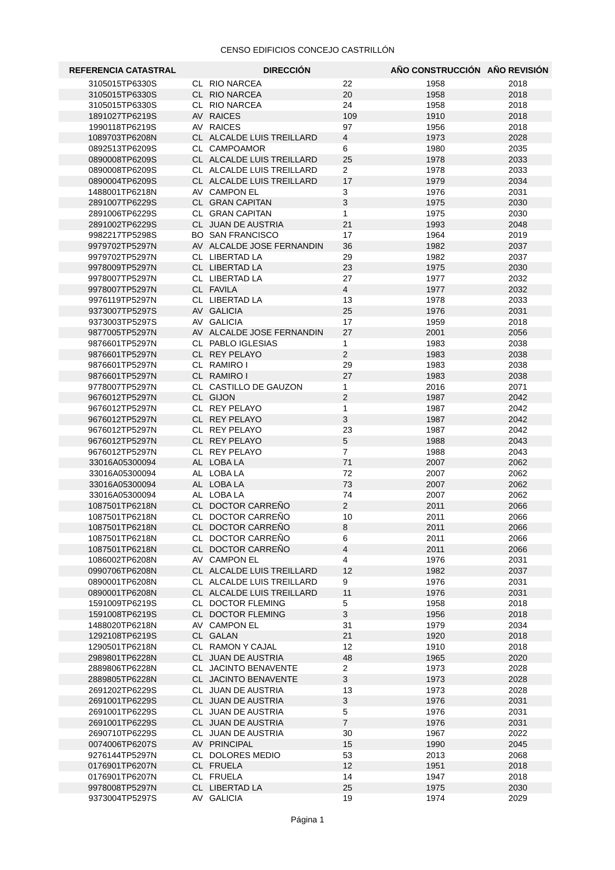| <b>REFERENCIA CATASTRAL</b>      | <b>DIRECCIÓN</b>                       |                      | AÑO CONSTRUCCIÓN AÑO REVISIÓN |              |
|----------------------------------|----------------------------------------|----------------------|-------------------------------|--------------|
| 3105015TP6330S                   | CL RIO NARCEA                          | 22                   | 1958                          | 2018         |
| 3105015TP6330S                   | CL RIO NARCEA                          | 20                   | 1958                          | 2018         |
| 3105015TP6330S                   | CL RIO NARCEA                          | 24                   | 1958                          | 2018         |
| 1891027TP6219S                   | AV RAICES                              | 109                  | 1910                          | 2018         |
| 1990118TP6219S                   | AV RAICES                              | 97                   | 1956                          | 2018         |
| 1089703TP6208N                   | CL ALCALDE LUIS TREILLARD              | $\overline{4}$       | 1973                          | 2028         |
| 0892513TP6209S                   | CL CAMPOAMOR                           | 6                    | 1980                          | 2035         |
| 0890008TP6209S                   | CL ALCALDE LUIS TREILLARD              | 25                   | 1978                          | 2033         |
| 0890008TP6209S                   | CL ALCALDE LUIS TREILLARD              | $\overline{2}$       | 1978                          | 2033         |
| 0890004TP6209S                   | CL ALCALDE LUIS TREILLARD              | 17                   | 1979                          | 2034         |
| 1488001TP6218N                   | AV CAMPON EL                           | 3                    | 1976                          | 2031         |
| 2891007TP6229S                   | CL GRAN CAPITAN                        | 3                    | 1975                          | 2030         |
| 2891006TP6229S                   | CL GRAN CAPITAN                        | $\mathbf{1}$         | 1975                          | 2030         |
| 2891002TP6229S                   | CL JUAN DE AUSTRIA                     | 21                   | 1993                          | 2048         |
| 9982217TP5298S                   | <b>BO SAN FRANCISCO</b>                | 17                   | 1964                          | 2019         |
| 9979702TP5297N<br>9979702TP5297N | AV ALCALDE JOSE FERNANDIN              | 36<br>29             | 1982                          | 2037<br>2037 |
| 9978009TP5297N                   | CL LIBERTAD LA                         | 23                   | 1982                          | 2030         |
| 9978007TP5297N                   | CL LIBERTAD LA<br>CL LIBERTAD LA       | 27                   | 1975<br>1977                  | 2032         |
| 9978007TP5297N                   | CL FAVILA                              | $\overline{4}$       | 1977                          | 2032         |
| 9976119TP5297N                   | CL LIBERTAD LA                         | 13                   | 1978                          | 2033         |
| 9373007TP5297S                   | AV GALICIA                             | 25                   | 1976                          | 2031         |
| 9373003TP5297S                   | AV GALICIA                             | 17                   | 1959                          | 2018         |
| 9877005TP5297N                   | AV ALCALDE JOSE FERNANDIN              | 27                   | 2001                          | 2056         |
| 9876601TP5297N                   | CL PABLO IGLESIAS                      | $\mathbf{1}$         | 1983                          | 2038         |
| 9876601TP5297N                   | CL REY PELAYO                          | $\overline{2}$       | 1983                          | 2038         |
| 9876601TP5297N                   | CL RAMIRO I                            | 29                   | 1983                          | 2038         |
| 9876601TP5297N                   | CL RAMIRO I                            | 27                   | 1983                          | 2038         |
| 9778007TP5297N                   | CL CASTILLO DE GAUZON                  | 1                    | 2016                          | 2071         |
| 9676012TP5297N                   | CL GIJON                               | $\overline{2}$       | 1987                          | 2042         |
| 9676012TP5297N                   | CL REY PELAYO                          | 1                    | 1987                          | 2042         |
| 9676012TP5297N                   | CL REY PELAYO                          | 3                    | 1987                          | 2042         |
| 9676012TP5297N                   | CL REY PELAYO                          | 23                   | 1987                          | 2042         |
| 9676012TP5297N                   | CL REY PELAYO                          | 5                    | 1988                          | 2043         |
| 9676012TP5297N                   | CL REY PELAYO                          | $\overline{7}$       | 1988                          | 2043         |
| 33016A05300094                   | AL LOBALA                              | 71                   | 2007                          | 2062         |
| 33016A05300094                   | AL LOBALA                              | 72                   | 2007                          | 2062         |
| 33016A05300094                   | AL LOBALA                              | 73                   | 2007                          | 2062         |
| 33016A05300094                   | AL LOBALA                              | 74<br>$\overline{2}$ | 2007                          | 2062         |
| 1087501TP6218N<br>1087501TP6218N | CL DOCTOR CARREÑO<br>CL DOCTOR CARREÑO | 10                   | 2011<br>2011                  | 2066<br>2066 |
| 1087501TP6218N                   | CL DOCTOR CARREÑO                      | 8                    | 2011                          | 2066         |
| 1087501TP6218N                   | CL DOCTOR CARREÑO                      | 6                    | 2011                          | 2066         |
| 1087501TP6218N                   | CL DOCTOR CARREÑO                      | $\overline{4}$       | 2011                          | 2066         |
| 1086002TP6208N                   | AV CAMPON EL                           | 4                    | 1976                          | 2031         |
| 0990706TP6208N                   | CL ALCALDE LUIS TREILLARD              | 12                   | 1982                          | 2037         |
| 0890001TP6208N                   | CL ALCALDE LUIS TREILLARD              | 9                    | 1976                          | 2031         |
| 0890001TP6208N                   | CL ALCALDE LUIS TREILLARD              | 11                   | 1976                          | 2031         |
| 1591009TP6219S                   | CL DOCTOR FLEMING                      | 5                    | 1958                          | 2018         |
| 1591008TP6219S                   | CL DOCTOR FLEMING                      | 3                    | 1956                          | 2018         |
| 1488020TP6218N                   | AV CAMPON EL                           | 31                   | 1979                          | 2034         |
| 1292108TP6219S                   | CL GALAN                               | 21                   | 1920                          | 2018         |
| 1290501TP6218N                   | CL RAMON Y CAJAL                       | 12                   | 1910                          | 2018         |
| 2989801TP6228N                   | CL JUAN DE AUSTRIA                     | 48                   | 1965                          | 2020         |
| 2889806TP6228N                   | CL JACINTO BENAVENTE                   | $\overline{2}$       | 1973                          | 2028         |
| 2889805TP6228N                   | CL JACINTO BENAVENTE                   | 3                    | 1973                          | 2028         |
| 2691202TP6229S                   | CL JUAN DE AUSTRIA                     | 13                   | 1973                          | 2028         |
| 2691001TP6229S                   | CL JUAN DE AUSTRIA                     | 3                    | 1976                          | 2031         |
| 2691001TP6229S                   | CL JUAN DE AUSTRIA                     | 5                    | 1976                          | 2031         |
| 2691001TP6229S                   | CL JUAN DE AUSTRIA                     | $\overline{7}$       | 1976                          | 2031         |
| 2690710TP6229S<br>0074006TP6207S | CL JUAN DE AUSTRIA                     | 30                   | 1967                          | 2022         |
|                                  | AV PRINCIPAL<br>CL DOLORES MEDIO       | 15<br>53             | 1990<br>2013                  | 2045<br>2068 |
| 9276144TP5297N<br>0176901TP6207N | CL FRUELA                              | 12                   | 1951                          | 2018         |
| 0176901TP6207N                   | CL FRUELA                              | 14                   | 1947                          | 2018         |
| 9978008TP5297N                   | CL LIBERTAD LA                         | 25                   | 1975                          | 2030         |
| 9373004TP5297S                   | AV GALICIA                             | 19                   | 1974                          | 2029         |
|                                  |                                        |                      |                               |              |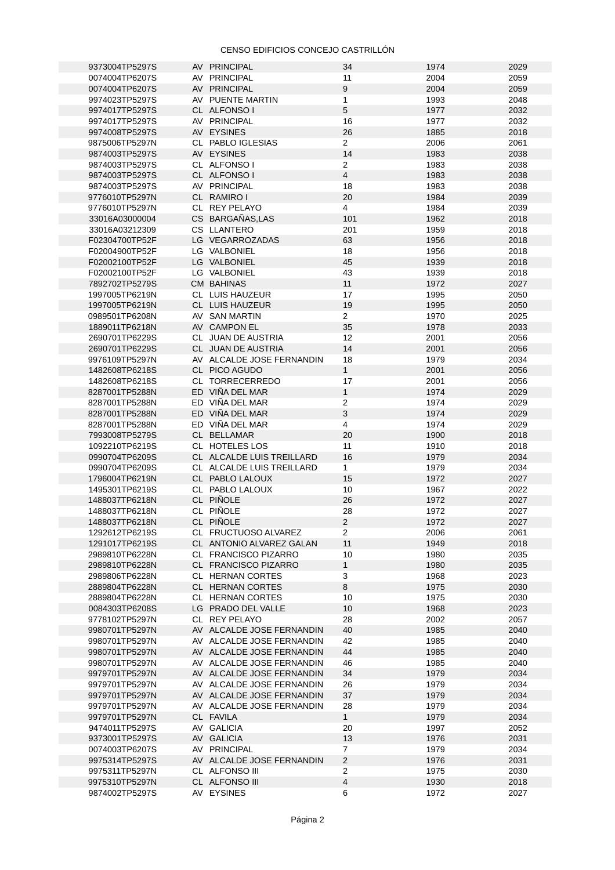| 9373004TP5297S                   | AV PRINCIPAL                 | 34                  | 1974         | 2029         |
|----------------------------------|------------------------------|---------------------|--------------|--------------|
| 0074004TP6207S                   | AV PRINCIPAL                 | 11                  | 2004         | 2059         |
|                                  | AV PRINCIPAL                 | $\boldsymbol{9}$    | 2004         | 2059         |
| 0074004TP6207S                   |                              |                     |              |              |
| 9974023TP5297S                   | AV PUENTE MARTIN             | $\mathbf{1}$        | 1993         | 2048         |
| 9974017TP5297S                   | CL ALFONSO I                 | 5                   | 1977         | 2032         |
|                                  |                              |                     |              |              |
| 9974017TP5297S                   | AV PRINCIPAL                 | 16                  | 1977         | 2032         |
| 9974008TP5297S                   | AV EYSINES                   | 26                  | 1885         | 2018         |
|                                  |                              |                     |              |              |
| 9875006TP5297N                   | CL PABLO IGLESIAS            | $\overline{2}$      | 2006         | 2061         |
| 9874003TP5297S                   | AV EYSINES                   | 14                  | 1983         | 2038         |
| 9874003TP5297S                   | CL ALFONSO I                 | $\overline{2}$      | 1983         | 2038         |
|                                  |                              |                     |              |              |
| 9874003TP5297S                   | CL ALFONSO I                 | $\overline{4}$      | 1983         | 2038         |
| 9874003TP5297S                   | AV PRINCIPAL                 | 18                  | 1983         | 2038         |
|                                  |                              |                     |              |              |
| 9776010TP5297N                   | CL RAMIRO I                  | 20                  | 1984         | 2039         |
| 9776010TP5297N                   | CL REY PELAYO                | $\overline{4}$      | 1984         | 2039         |
| 33016A03000004                   | CS BARGAÑAS, LAS             | 101                 | 1962         | 2018         |
|                                  |                              |                     |              |              |
| 33016A03212309                   | <b>CS LLANTERO</b>           | 201                 | 1959         | 2018         |
| F02304700TP52F                   | LG VEGARROZADAS              | 63                  | 1956         | 2018         |
|                                  |                              |                     |              |              |
| F02004900TP52F                   | LG VALBONIEL                 | 18                  | 1956         | 2018         |
| F02002100TP52F                   | LG VALBONIEL                 | 45                  | 1939         | 2018         |
| F02002100TP52F                   | LG VALBONIEL                 | 43                  | 1939         | 2018         |
|                                  |                              |                     |              |              |
| 7892702TP5279S                   | <b>CM BAHINAS</b>            | 11                  | 1972         | 2027         |
| 1997005TP6219N                   | CL LUIS HAUZEUR              | 17                  | 1995         | 2050         |
|                                  |                              |                     |              |              |
| 1997005TP6219N                   | CL LUIS HAUZEUR              | 19                  | 1995         | 2050         |
| 0989501TP6208N                   | AV SAN MARTIN                | $2^{\circ}$         | 1970         | 2025         |
|                                  | AV CAMPON EL                 | 35                  |              |              |
| 1889011TP6218N                   |                              |                     | 1978         | 2033         |
| 2690701TP6229S                   | CL JUAN DE AUSTRIA           | 12                  | 2001         | 2056         |
| 2690701TP6229S                   | CL JUAN DE AUSTRIA           | 14                  | 2001         | 2056         |
|                                  |                              |                     |              |              |
| 9976109TP5297N                   | AV ALCALDE JOSE FERNANDIN    | 18                  | 1979         | 2034         |
| 1482608TP6218S                   | CL PICO AGUDO                | $\mathbf{1}$        | 2001         | 2056         |
|                                  |                              |                     |              |              |
| 1482608TP6218S                   | CL TORRECERREDO              | 17                  | 2001         | 2056         |
| 8287001TP5288N                   | ED VIÑA DEL MAR              | $1\,$               | 1974         | 2029         |
|                                  | ED VIÑA DEL MAR              | $\overline{2}$      | 1974         | 2029         |
| 8287001TP5288N                   |                              |                     |              |              |
| 8287001TP5288N                   | ED VIÑA DEL MAR              | 3                   | 1974         | 2029         |
| 8287001TP5288N                   | ED VIÑA DEL MAR              | $\overline{4}$      | 1974         | 2029         |
|                                  |                              |                     |              |              |
| 7993008TP5279S                   | CL BELLAMAR                  | 20                  | 1900         | 2018         |
| 1092210TP6219S                   | CL HOTELES LOS               | 11                  | 1910         | 2018         |
| 0990704TP6209S                   |                              | 16                  |              | 2034         |
|                                  | CL ALCALDE LUIS TREILLARD    |                     | 1979         |              |
| 0990704TP6209S                   | CL ALCALDE LUIS TREILLARD    | $\mathbf{1}$        | 1979         | 2034         |
| 1796004TP6219N                   | CL PABLO LALOUX              | 15                  | 1972         | 2027         |
|                                  |                              |                     |              |              |
| 1495301TP6219S                   | CL PABLO LALOUX              | 10                  | 1967         | 2022         |
| 1488037TP6218N                   | CL PIÑOLE                    | 26                  | 1972         | 2027         |
| 1488037TP6218N                   | CL PIÑOLE                    | 28                  |              |              |
|                                  |                              |                     |              |              |
|                                  |                              |                     | 1972         | 2027         |
|                                  |                              | $\overline{2}$      |              |              |
| 1488037TP6218N                   | CL PIÑOLE                    |                     | 1972         | 2027         |
| 1292612TP6219S                   | CL FRUCTUOSO ALVAREZ         | 2                   | 2006         | 2061         |
| 1291017TP6219S                   | CL ANTONIO ALVAREZ GALAN     | 11                  | 1949         | 2018         |
|                                  | CL FRANCISCO PIZARRO         |                     |              |              |
| 2989810TP6228N                   |                              | 10                  | 1980         | 2035         |
| 2989810TP6228N                   | CL FRANCISCO PIZARRO         | $\mathbf 1$         | 1980         | 2035         |
| 2989806TP6228N                   | CL HERNAN CORTES             | 3                   | 1968         | 2023         |
|                                  |                              |                     |              |              |
| 2889804TP6228N                   | CL HERNAN CORTES             | 8                   | 1975         | 2030         |
| 2889804TP6228N                   | CL HERNAN CORTES             | 10                  | 1975         | 2030         |
| 0084303TP6208S                   |                              |                     |              |              |
|                                  | LG PRADO DEL VALLE           | 10                  | 1968         | 2023         |
| 9778102TP5297N                   | CL REY PELAYO                | 28                  | 2002         | 2057         |
| 9980701TP5297N                   | AV ALCALDE JOSE FERNANDIN    | 40                  | 1985         | 2040         |
|                                  |                              |                     |              |              |
| 9980701TP5297N                   | AV ALCALDE JOSE FERNANDIN    | 42                  | 1985         | 2040         |
| 9980701TP5297N                   | AV ALCALDE JOSE FERNANDIN    | 44                  | 1985         | 2040         |
|                                  |                              |                     |              |              |
| 9980701TP5297N                   | AV ALCALDE JOSE FERNANDIN    | 46                  | 1985         | 2040         |
| 9979701TP5297N                   | AV ALCALDE JOSE FERNANDIN    | 34                  | 1979         | 2034         |
| 9979701TP5297N                   | AV ALCALDE JOSE FERNANDIN    | 26                  | 1979         | 2034         |
|                                  |                              |                     |              |              |
| 9979701TP5297N                   | AV ALCALDE JOSE FERNANDIN    | 37                  | 1979         | 2034         |
| 9979701TP5297N                   | AV ALCALDE JOSE FERNANDIN    | 28                  | 1979         | 2034         |
|                                  |                              |                     |              |              |
| 9979701TP5297N                   | CL FAVILA                    | $\mathbf{1}$        | 1979         | 2034         |
| 9474011TP5297S                   | AV GALICIA                   | 20                  | 1997         | 2052         |
| 9373001TP5297S                   | AV GALICIA                   |                     |              |              |
|                                  |                              | 13                  | 1976         | 2031         |
| 0074003TP6207S                   | AV PRINCIPAL                 | 7                   | 1979         | 2034         |
| 9975314TP5297S                   | AV ALCALDE JOSE FERNANDIN    | $\overline{c}$      | 1976         | 2031         |
|                                  |                              |                     |              |              |
| 9975311TP5297N                   | CL ALFONSO III               | $\overline{2}$      | 1975         | 2030         |
| 9975310TP5297N<br>9874002TP5297S | CL ALFONSO III<br>AV EYSINES | $\overline{4}$<br>6 | 1930<br>1972 | 2018<br>2027 |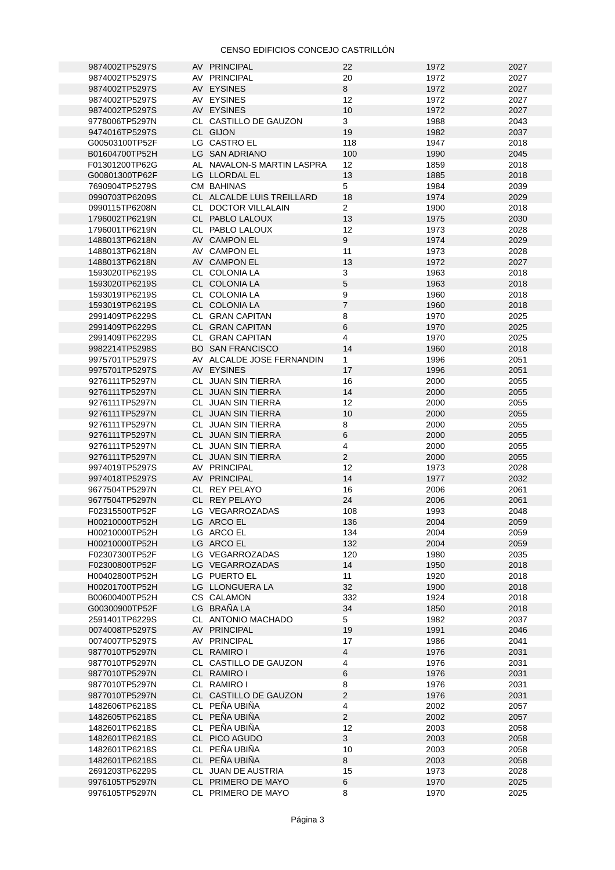| 9874002TP5297S                   | AV PRINCIPAL                             | 22              | 1972         | 2027         |
|----------------------------------|------------------------------------------|-----------------|--------------|--------------|
| 9874002TP5297S                   | AV PRINCIPAL                             | 20              | 1972         | 2027         |
|                                  |                                          | 8               | 1972         | 2027         |
| 9874002TP5297S                   | AV EYSINES                               |                 |              |              |
| 9874002TP5297S                   | AV EYSINES                               | 12              | 1972         | 2027         |
| 9874002TP5297S                   | AV EYSINES                               | 10              | 1972         | 2027         |
|                                  |                                          |                 |              |              |
| 9778006TP5297N                   | CL CASTILLO DE GAUZON                    | 3               | 1988         | 2043         |
| 9474016TP5297S                   | CL GIJON                                 | 19              | 1982         | 2037         |
|                                  |                                          |                 |              |              |
| G00503100TP52F                   | LG CASTRO EL                             | 118             | 1947         | 2018         |
| B01604700TP52H                   | LG SAN ADRIANO                           | 100             | 1990         | 2045         |
|                                  |                                          | 12              | 1859         | 2018         |
| F01301200TP62G                   | AL NAVALON-S MARTIN LASPRA               |                 |              |              |
| G00801300TP62F                   | LG LLORDAL EL                            | 13              | 1885         | 2018         |
| 7690904TP5279S                   | <b>CM BAHINAS</b>                        | 5               | 1984         | 2039         |
|                                  |                                          |                 |              |              |
| 0990703TP6209S                   | CL ALCALDE LUIS TREILLARD                | 18              | 1974         | 2029         |
| 0990115TP6208N                   | CL DOCTOR VILLALAIN                      | $\overline{2}$  | 1900         | 2018         |
|                                  |                                          | 13              | 1975         | 2030         |
| 1796002TP6219N                   | CL PABLO LALOUX                          |                 |              |              |
| 1796001TP6219N                   | CL PABLO LALOUX                          | 12              | 1973         | 2028         |
| 1488013TP6218N                   | AV CAMPON EL                             | 9               | 1974         | 2029         |
|                                  |                                          |                 |              |              |
| 1488013TP6218N                   | AV CAMPON EL                             | 11              | 1973         | 2028         |
| 1488013TP6218N                   | AV CAMPON EL                             | 13              | 1972         | 2027         |
|                                  |                                          |                 |              |              |
| 1593020TP6219S                   | CL COLONIA LA                            | 3               | 1963         | 2018         |
| 1593020TP6219S                   | CL COLONIA LA                            | $5\phantom{.0}$ | 1963         | 2018         |
| 1593019TP6219S                   | CL COLONIA LA                            | 9               | 1960         | 2018         |
|                                  |                                          |                 |              |              |
| 1593019TP6219S                   | CL COLONIA LA                            | $\overline{7}$  | 1960         | 2018         |
| 2991409TP6229S                   | CL GRAN CAPITAN                          | 8               | 1970         | 2025         |
|                                  |                                          |                 |              |              |
| 2991409TP6229S                   | CL GRAN CAPITAN                          | 6               | 1970         | 2025         |
| 2991409TP6229S                   | CL GRAN CAPITAN                          | $\overline{4}$  | 1970         | 2025         |
|                                  |                                          |                 |              |              |
| 9982214TP5298S                   | <b>BO SAN FRANCISCO</b>                  | 14              | 1960         | 2018         |
| 9975701TP5297S                   | AV ALCALDE JOSE FERNANDIN                | $\mathbf{1}$    | 1996         | 2051         |
| 9975701TP5297S                   | AV EYSINES                               | 17              | 1996         | 2051         |
|                                  |                                          |                 |              |              |
| 9276111TP5297N                   | CL JUAN SIN TIERRA                       | 16              | 2000         | 2055         |
| 9276111TP5297N                   | CL JUAN SIN TIERRA                       | 14              | 2000         | 2055         |
|                                  |                                          |                 |              |              |
| 9276111TP5297N                   | CL JUAN SIN TIERRA                       | 12              | 2000         | 2055         |
| 9276111TP5297N                   | CL JUAN SIN TIERRA                       | 10              | 2000         | 2055         |
|                                  |                                          |                 |              |              |
| 9276111TP5297N                   | CL JUAN SIN TIERRA                       | 8               | 2000         | 2055         |
| 9276111TP5297N                   | CL JUAN SIN TIERRA                       | $\,6\,$         | 2000         | 2055         |
|                                  |                                          | 4               |              | 2055         |
| 9276111TP5297N                   | CL JUAN SIN TIERRA                       |                 | 2000         |              |
| 9276111TP5297N                   | CL JUAN SIN TIERRA                       | $\overline{2}$  | 2000         | 2055         |
| 9974019TP5297S                   | AV PRINCIPAL                             | 12              | 1973         | 2028         |
|                                  |                                          |                 |              |              |
| 9974018TP5297S                   | AV PRINCIPAL                             | 14              | 1977         | 2032         |
| 9677504TP5297N                   | CL REY PELAYO                            | 16              | 2006         | 2061         |
|                                  |                                          |                 |              |              |
| 9677504TP5297N                   | CL REY PELAYO                            | 24              | 2006         | 2061         |
| F02315500TP52F                   | LG VEGARROZADAS                          | 108             | 1993         | 2048         |
|                                  |                                          |                 |              |              |
| H00210000TP52H                   | LG ARCO EL                               | 136             | 2004         | 2059         |
| H00210000TP52H                   | LG ARCO EL                               | 134             | 2004         | 2059         |
| H00210000TP52H                   | LG ARCO EL                               | 132             | 2004         | 2059         |
|                                  |                                          |                 |              |              |
| F02307300TP52F                   | LG VEGARROZADAS                          | 120             | 1980         | 2035         |
| F02300800TP52F                   | LG VEGARROZADAS                          | 14              | 1950         | 2018         |
|                                  |                                          |                 |              |              |
| H00402800TP52H                   | LG PUERTO EL                             | 11              | 1920         | 2018         |
| H00201700TP52H                   | LG LLONGUERA LA                          | 32              | 1900         | 2018         |
| B00600400TP52H                   | CS CALAMON                               | 332             | 1924         | 2018         |
|                                  |                                          |                 |              |              |
| G00300900TP52F                   | LG BRAÑA LA                              | 34              | 1850         | 2018         |
| 2591401TP6229S                   | CL ANTONIO MACHADO                       | 5               | 1982         | 2037         |
|                                  |                                          |                 |              |              |
| 0074008TP5297S                   | AV PRINCIPAL                             | 19              | 1991         | 2046         |
| 0074007TP5297S                   | AV PRINCIPAL                             | 17              | 1986         | 2041         |
| 9877010TP5297N                   | CL RAMIRO I                              | $\overline{4}$  | 1976         | 2031         |
|                                  |                                          |                 |              |              |
| 9877010TP5297N                   | CL CASTILLO DE GAUZON                    | 4               | 1976         | 2031         |
| 9877010TP5297N                   | CL RAMIRO I                              | 6               | 1976         | 2031         |
|                                  |                                          |                 |              |              |
| 9877010TP5297N                   | CL RAMIRO I                              | 8               | 1976         | 2031         |
| 9877010TP5297N                   | CL CASTILLO DE GAUZON                    | 2               | 1976         | 2031         |
|                                  | CL PEÑA UBIÑA                            |                 |              |              |
| 1482606TP6218S                   |                                          | 4               | 2002         | 2057         |
|                                  |                                          |                 |              |              |
| 1482605TP6218S                   | CL PEÑA UBIÑA                            | $2^{\circ}$     | 2002         | 2057         |
|                                  |                                          |                 |              |              |
| 1482601TP6218S                   | CL PEÑA UBIÑA                            | 12              | 2003         | 2058         |
| 1482601TP6218S                   | CL PICO AGUDO                            | $\mathbf{3}$    | 2003         | 2058         |
|                                  |                                          |                 |              |              |
| 1482601TP6218S                   | CL PEÑA UBIÑA                            | 10              | 2003         | 2058         |
| 1482601TP6218S                   | CL PEÑA UBIÑA                            | $\bf 8$         | 2003         | 2058         |
| 2691203TP6229S                   | CL JUAN DE AUSTRIA                       | 15              | 1973         | 2028         |
|                                  |                                          |                 |              |              |
| 9976105TP5297N<br>9976105TP5297N | CL PRIMERO DE MAYO<br>CL PRIMERO DE MAYO | 6<br>8          | 1970<br>1970 | 2025<br>2025 |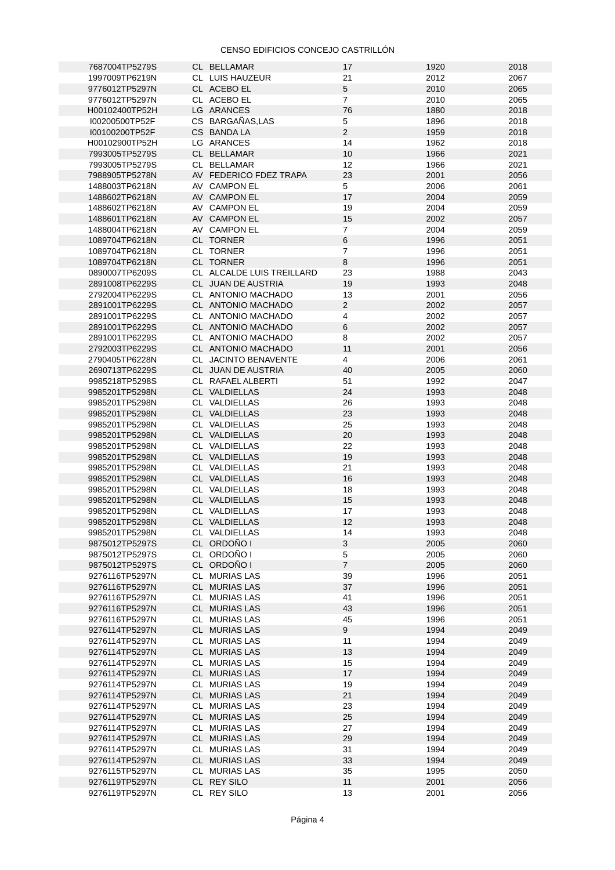| 7687004TP5279S | CL BELLAMAR               | 17             | 1920 | 2018 |
|----------------|---------------------------|----------------|------|------|
|                |                           |                |      |      |
| 1997009TP6219N | CL LUIS HAUZEUR           | 21             | 2012 | 2067 |
| 9776012TP5297N | CL ACEBO EL               | 5              | 2010 | 2065 |
| 9776012TP5297N | CL ACEBO EL               | $\overline{7}$ | 2010 | 2065 |
| H00102400TP52H | LG ARANCES                | 76             | 1880 | 2018 |
| I00200500TP52F | CS BARGAÑAS.LAS           | 5              | 1896 | 2018 |
|                |                           | $\overline{2}$ |      |      |
| I00100200TP52F | CS BANDA LA               |                | 1959 | 2018 |
| H00102900TP52H | LG ARANCES                | 14             | 1962 | 2018 |
| 7993005TP5279S | CL BELLAMAR               | 10             | 1966 | 2021 |
| 7993005TP5279S | CL BELLAMAR               | 12             | 1966 | 2021 |
| 7988905TP5278N | AV FEDERICO FDEZ TRAPA    | 23             | 2001 | 2056 |
|                |                           | 5              | 2006 | 2061 |
| 1488003TP6218N | AV CAMPON EL              |                |      |      |
| 1488602TP6218N | AV CAMPON EL              | 17             | 2004 | 2059 |
| 1488602TP6218N | AV CAMPON EL              | 19             | 2004 | 2059 |
| 1488601TP6218N | AV CAMPON EL              | 15             | 2002 | 2057 |
| 1488004TP6218N | AV CAMPON EL              | $\overline{7}$ | 2004 | 2059 |
| 1089704TP6218N | CL TORNER                 | 6              | 1996 | 2051 |
|                |                           |                |      |      |
| 1089704TP6218N | CL TORNER                 | $\overline{7}$ | 1996 | 2051 |
| 1089704TP6218N | CL TORNER                 | 8              | 1996 | 2051 |
| 0890007TP6209S | CL ALCALDE LUIS TREILLARD | 23             | 1988 | 2043 |
| 2891008TP6229S | CL JUAN DE AUSTRIA        | 19             | 1993 | 2048 |
| 2792004TP6229S | CL ANTONIO MACHADO        | 13             | 2001 | 2056 |
|                |                           |                |      |      |
| 2891001TP6229S | CL ANTONIO MACHADO        | $\overline{2}$ | 2002 | 2057 |
| 2891001TP6229S | CL ANTONIO MACHADO        | $\overline{4}$ | 2002 | 2057 |
| 2891001TP6229S | CL ANTONIO MACHADO        | 6              | 2002 | 2057 |
| 2891001TP6229S | CL ANTONIO MACHADO        | 8              | 2002 | 2057 |
| 2792003TP6229S | CL ANTONIO MACHADO        | 11             | 2001 | 2056 |
|                |                           | $\overline{4}$ | 2006 | 2061 |
| 2790405TP6228N | CL JACINTO BENAVENTE      |                |      |      |
| 2690713TP6229S | CL JUAN DE AUSTRIA        | 40             | 2005 | 2060 |
| 9985218TP5298S | CL RAFAEL ALBERTI         | 51             | 1992 | 2047 |
| 9985201TP5298N | CL VALDIELLAS             | 24             | 1993 | 2048 |
| 9985201TP5298N | CL VALDIELLAS             | 26             | 1993 | 2048 |
| 9985201TP5298N | CL VALDIELLAS             | 23             | 1993 | 2048 |
|                |                           |                |      |      |
| 9985201TP5298N | CL VALDIELLAS             | 25             | 1993 | 2048 |
| 9985201TP5298N | CL VALDIELLAS             | 20             | 1993 | 2048 |
| 9985201TP5298N | CL VALDIELLAS             | 22             | 1993 | 2048 |
| 9985201TP5298N | CL VALDIELLAS             | 19             | 1993 | 2048 |
| 9985201TP5298N | CL VALDIELLAS             | 21             | 1993 | 2048 |
|                |                           |                |      |      |
| 9985201TP5298N | CL VALDIELLAS             | 16             | 1993 | 2048 |
| 9985201TP5298N | CL VALDIELLAS             | 18             | 1993 | 2048 |
| 9985201TP5298N | CL VALDIELLAS             | 15             | 1993 | 2048 |
| 9985201TP5298N | CL VALDIELLAS             | 17             | 1993 | 2048 |
| 9985201TP5298N | CL VALDIELLAS             | 12             | 1993 | 2048 |
|                |                           |                |      |      |
| 9985201TP5298N | CL VALDIELLAS             | 14             | 1993 | 2048 |
| 9875012TP5297S | CL ORDOÑO I               | 3              | 2005 | 2060 |
| 9875012TP5297S | CL ORDOÑO I               | 5              | 2005 | 2060 |
| 9875012TP5297S | CL ORDOÑO I               | $\overline{7}$ | 2005 | 2060 |
| 9276116TP5297N | CL MURIAS LAS             | 39             | 1996 | 2051 |
| 9276116TP5297N | CL MURIAS LAS             | 37             | 1996 | 2051 |
|                |                           |                |      |      |
| 9276116TP5297N | CL MURIAS LAS             | 41             | 1996 | 2051 |
| 9276116TP5297N | CL MURIAS LAS             | 43             | 1996 | 2051 |
| 9276116TP5297N | CL MURIAS LAS             | 45             | 1996 | 2051 |
| 9276114TP5297N | CL MURIAS LAS             | 9              | 1994 | 2049 |
| 9276114TP5297N | CL MURIAS LAS             | 11             | 1994 | 2049 |
| 9276114TP5297N | CL MURIAS LAS             | 13             | 1994 | 2049 |
|                |                           |                |      |      |
| 9276114TP5297N | CL MURIAS LAS             | 15             | 1994 | 2049 |
| 9276114TP5297N | CL MURIAS LAS             | 17             | 1994 | 2049 |
| 9276114TP5297N | CL MURIAS LAS             | 19             | 1994 | 2049 |
| 9276114TP5297N | CL MURIAS LAS             | 21             | 1994 | 2049 |
| 9276114TP5297N | CL MURIAS LAS             | 23             | 1994 | 2049 |
|                |                           |                |      |      |
| 9276114TP5297N | CL MURIAS LAS             | 25             | 1994 | 2049 |
| 9276114TP5297N | CL MURIAS LAS             | 27             | 1994 | 2049 |
| 9276114TP5297N | CL MURIAS LAS             | 29             | 1994 | 2049 |
| 9276114TP5297N | CL MURIAS LAS             | 31             | 1994 | 2049 |
| 9276114TP5297N | CL MURIAS LAS             | 33             | 1994 | 2049 |
| 9276115TP5297N | CL MURIAS LAS             | 35             | 1995 | 2050 |
|                |                           |                |      |      |
| 9276119TP5297N | CL REY SILO               | 11             | 2001 | 2056 |
| 9276119TP5297N | CL REY SILO               | 13             | 2001 | 2056 |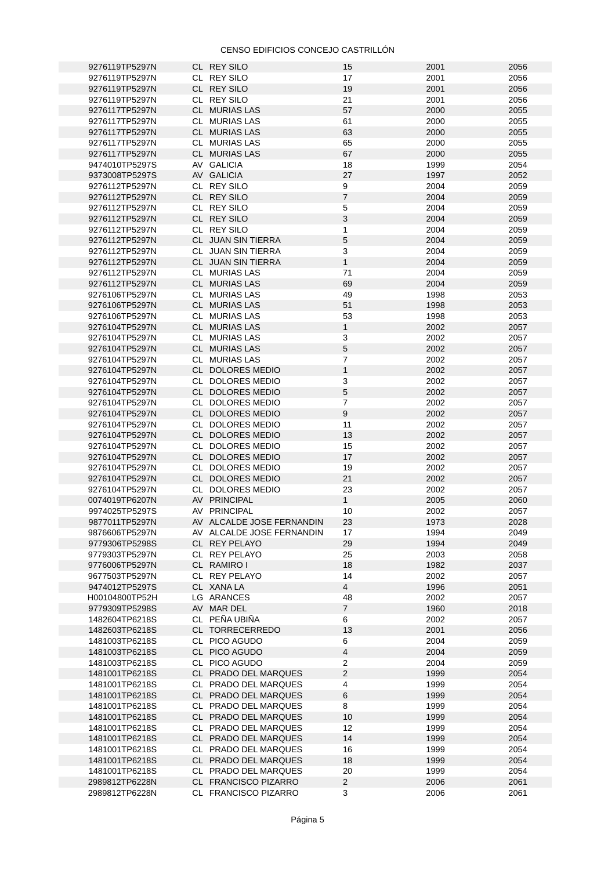| 9276119TP5297N                   | CL REY SILO                                  | 15                  | 2001         | 2056         |
|----------------------------------|----------------------------------------------|---------------------|--------------|--------------|
| 9276119TP5297N                   | CL REY SILO                                  | 17                  | 2001         | 2056         |
| 9276119TP5297N                   | CL REY SILO                                  | 19                  | 2001         | 2056         |
| 9276119TP5297N                   | CL REY SILO                                  | 21                  | 2001         | 2056         |
|                                  |                                              |                     |              |              |
| 9276117TP5297N                   | CL MURIAS LAS                                | 57                  | 2000         | 2055         |
| 9276117TP5297N                   | CL MURIAS LAS                                | 61                  | 2000         | 2055         |
| 9276117TP5297N                   | CL MURIAS LAS                                | 63                  | 2000         | 2055         |
|                                  |                                              |                     |              |              |
| 9276117TP5297N                   | CL MURIAS LAS                                | 65                  | 2000         | 2055         |
| 9276117TP5297N                   | CL MURIAS LAS                                | 67                  | 2000         | 2055         |
| 9474010TP5297S                   | AV GALICIA                                   | 18                  | 1999         | 2054         |
|                                  |                                              |                     |              |              |
| 9373008TP5297S                   | AV GALICIA                                   | 27                  | 1997         | 2052         |
| 9276112TP5297N                   | CL REY SILO                                  | 9                   | 2004         | 2059         |
| 9276112TP5297N                   | CL REY SILO                                  | $\overline{7}$      | 2004         | 2059         |
|                                  |                                              |                     |              |              |
| 9276112TP5297N                   | CL REY SILO                                  | 5                   | 2004         | 2059         |
| 9276112TP5297N                   | CL REY SILO                                  | $\mathsf{3}$        | 2004         | 2059         |
| 9276112TP5297N                   | CL REY SILO                                  | $\mathbf{1}$        | 2004         | 2059         |
|                                  |                                              | $\overline{5}$      | 2004         | 2059         |
| 9276112TP5297N                   | CL JUAN SIN TIERRA                           |                     |              |              |
| 9276112TP5297N                   | CL JUAN SIN TIERRA                           | $\mathbf{3}$        | 2004         | 2059         |
| 9276112TP5297N                   | CL JUAN SIN TIERRA                           | $\mathbf{1}$        | 2004         | 2059         |
| 9276112TP5297N                   | CL MURIAS LAS                                | 71                  | 2004         | 2059         |
|                                  |                                              |                     |              |              |
| 9276112TP5297N                   | CL MURIAS LAS                                | 69                  | 2004         | 2059         |
| 9276106TP5297N                   | CL MURIAS LAS                                | 49                  | 1998         | 2053         |
| 9276106TP5297N                   | CL MURIAS LAS                                | 51                  | 1998         | 2053         |
|                                  |                                              |                     |              |              |
| 9276106TP5297N                   | CL MURIAS LAS                                | 53                  | 1998         | 2053         |
| 9276104TP5297N                   | CL MURIAS LAS                                | $\mathbf{1}$        | 2002         | 2057         |
| 9276104TP5297N                   | CL MURIAS LAS                                | 3                   | 2002         | 2057         |
|                                  |                                              |                     |              |              |
| 9276104TP5297N                   | CL MURIAS LAS                                | $\mathbf 5$         | 2002         | 2057         |
| 9276104TP5297N                   | CL MURIAS LAS                                | $\overline{7}$      | 2002         | 2057         |
| 9276104TP5297N                   | CL DOLORES MEDIO                             | $\mathbf{1}$        | 2002         | 2057         |
|                                  |                                              |                     |              |              |
| 9276104TP5297N                   | CL DOLORES MEDIO                             | 3                   | 2002         | 2057         |
| 9276104TP5297N                   | CL DOLORES MEDIO                             | $\overline{5}$      | 2002         | 2057         |
| 9276104TP5297N                   | CL DOLORES MEDIO                             | $\overline{7}$      | 2002         | 2057         |
|                                  |                                              |                     |              |              |
| 9276104TP5297N                   | CL DOLORES MEDIO                             | $9\,$               | 2002         | 2057         |
| 9276104TP5297N                   | CL DOLORES MEDIO                             | 11                  | 2002         | 2057         |
| 9276104TP5297N                   | CL DOLORES MEDIO                             | 13                  | 2002         | 2057         |
|                                  |                                              |                     | 2002         | 2057         |
| 9276104TP5297N                   | CL DOLORES MEDIO                             | 15                  |              |              |
| 9276104TP5297N                   | CL DOLORES MEDIO                             | 17                  | 2002         | 2057         |
| 9276104TP5297N                   | CL DOLORES MEDIO                             | 19                  | 2002         | 2057         |
| 9276104TP5297N                   | CL DOLORES MEDIO                             | 21                  | 2002         | 2057         |
|                                  |                                              |                     |              |              |
| 9276104TP5297N                   | CL DOLORES MEDIO                             | 23                  | 2002         | 2057         |
| 0074019TP6207N                   | AV PRINCIPAL                                 | $\mathbf{1}$        | 2005         | 2060         |
| 9974025TP5297S                   | AV PRINCIPAL                                 | 10                  | 2002         | 2057         |
|                                  |                                              |                     |              |              |
| 9877011TP5297N                   | AV ALCALDE JOSE FERNANDIN                    | 23                  | 1973         | 2028         |
| 9876606TP5297N                   | AV ALCALDE JOSE FERNANDIN                    | 17                  | 1994         | 2049         |
| 9779306TP5298S                   | CL REY PELAYO                                | 29                  | 1994         | 2049         |
| 9779303TP5297N                   |                                              |                     |              |              |
|                                  | CL REY PELAYO                                | 25                  | 2003         | 2058         |
| 9776006TP5297N                   | CL RAMIRO I                                  | 18                  | 1982         | 2037         |
| 9677503TP5297N                   | CL REY PELAYO                                | 14                  | 2002         | 2057         |
| 9474012TP5297S                   | CL XANA LA                                   | $\overline{4}$      | 1996         | 2051         |
|                                  |                                              |                     |              |              |
| H00104800TP52H                   | LG ARANCES                                   | 48                  | 2002         | 2057         |
| 9779309TP5298S                   | AV MAR DEL                                   | $\overline{7}$      | 1960         | 2018         |
| 1482604TP6218S                   | CL PEÑA UBIÑA                                | 6                   | 2002         | 2057         |
|                                  |                                              |                     |              |              |
| 1482603TP6218S                   | CL TORRECERREDO                              | 13                  | 2001         | 2056         |
| 1481003TP6218S                   | CL PICO AGUDO                                | 6                   | 2004         | 2059         |
| 1481003TP6218S                   | CL PICO AGUDO                                | $\overline{4}$      | 2004         | 2059         |
|                                  | CL PICO AGUDO                                |                     |              |              |
| 1481003TP6218S                   |                                              | $\overline{2}$      | 2004         | 2059         |
| 1481001TP6218S                   | CL PRADO DEL MARQUES                         | $\overline{c}$      | 1999         | 2054         |
| 1481001TP6218S                   | CL PRADO DEL MARQUES                         | 4                   | 1999         | 2054         |
| 1481001TP6218S                   | CL PRADO DEL MARQUES                         | $\,6\,$             | 1999         | 2054         |
|                                  |                                              |                     |              |              |
| 1481001TP6218S                   | CL PRADO DEL MARQUES                         | 8                   | 1999         | 2054         |
| 1481001TP6218S                   | CL PRADO DEL MARQUES                         | 10                  | 1999         | 2054         |
| 1481001TP6218S                   | CL PRADO DEL MARQUES                         | 12                  | 1999         | 2054         |
|                                  |                                              |                     |              |              |
| 1481001TP6218S                   | CL PRADO DEL MARQUES                         | 14                  | 1999         | 2054         |
| 1481001TP6218S                   | CL PRADO DEL MARQUES                         | 16                  | 1999         | 2054         |
| 1481001TP6218S                   | CL PRADO DEL MARQUES                         | 18                  | 1999         | 2054         |
|                                  |                                              |                     |              |              |
| 1481001TP6218S                   |                                              |                     |              |              |
|                                  | CL PRADO DEL MARQUES                         | 20                  | 1999         | 2054         |
| 2989812TP6228N<br>2989812TP6228N | CL FRANCISCO PIZARRO<br>CL FRANCISCO PIZARRO | $\overline{2}$<br>3 | 2006<br>2006 | 2061<br>2061 |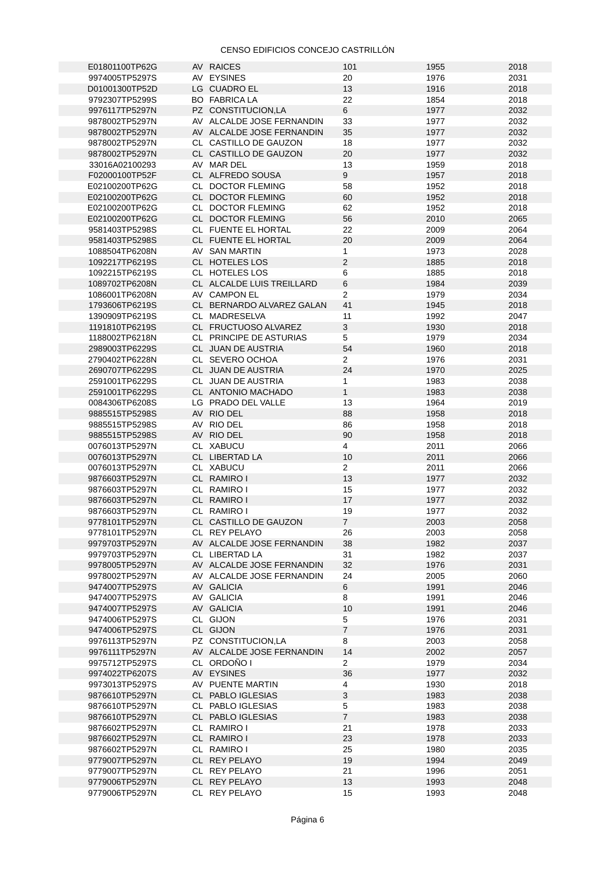| E01801100TP62G                   | AV RAICES                      | 101            | 1955         | 2018         |
|----------------------------------|--------------------------------|----------------|--------------|--------------|
| 9974005TP5297S                   | AV EYSINES                     | 20             | 1976         | 2031         |
|                                  | LG CUADRO EL                   |                |              |              |
| D01001300TP52D                   |                                | 13             | 1916         | 2018         |
| 9792307TP5299S                   | <b>BO FABRICA LA</b>           | 22             | 1854         | 2018         |
| 9976117TP5297N                   | PZ CONSTITUCION,LA             | 6              | 1977         | 2032         |
|                                  |                                |                |              |              |
| 9878002TP5297N                   | AV ALCALDE JOSE FERNANDIN      | 33             | 1977         | 2032         |
| 9878002TP5297N                   | AV ALCALDE JOSE FERNANDIN      | 35             | 1977         | 2032         |
|                                  |                                |                |              |              |
| 9878002TP5297N                   | CL CASTILLO DE GAUZON          | 18             | 1977         | 2032         |
| 9878002TP5297N                   | CL CASTILLO DE GAUZON          | 20             | 1977         | 2032         |
| 33016A02100293                   | AV MAR DEL                     | 13             | 1959         | 2018         |
|                                  |                                |                |              |              |
| F02000100TP52F                   | CL ALFREDO SOUSA               | 9              | 1957         | 2018         |
| E02100200TP62G                   | CL DOCTOR FLEMING              | 58             | 1952         | 2018         |
|                                  |                                |                |              |              |
| E02100200TP62G                   | CL DOCTOR FLEMING              | 60             | 1952         | 2018         |
| E02100200TP62G                   | CL DOCTOR FLEMING              | 62             | 1952         | 2018         |
|                                  |                                | 56             | 2010         | 2065         |
| E02100200TP62G                   | CL DOCTOR FLEMING              |                |              |              |
| 9581403TP5298S                   | CL FUENTE EL HORTAL            | 22             | 2009         | 2064         |
| 9581403TP5298S                   | CL FUENTE EL HORTAL            | 20             | 2009         | 2064         |
|                                  |                                |                |              |              |
| 1088504TP6208N                   | AV SAN MARTIN                  | $\mathbf{1}$   | 1973         | 2028         |
| 1092217TP6219S                   | CL HOTELES LOS                 | $\overline{2}$ | 1885         | 2018         |
|                                  |                                |                |              |              |
| 1092215TP6219S                   | CL HOTELES LOS                 | 6              | 1885         | 2018         |
| 1089702TP6208N                   | CL ALCALDE LUIS TREILLARD      | $\,6$          | 1984         | 2039         |
| 1086001TP6208N                   | AV CAMPON EL                   | $\overline{2}$ | 1979         | 2034         |
|                                  |                                |                |              |              |
| 1793606TP6219S                   | CL BERNARDO ALVAREZ GALAN      | 41             | 1945         | 2018         |
| 1390909TP6219S                   | CL MADRESELVA                  | 11             | 1992         | 2047         |
|                                  |                                |                |              |              |
| 1191810TP6219S                   | CL FRUCTUOSO ALVAREZ           | 3              | 1930         | 2018         |
| 1188002TP6218N                   | CL PRINCIPE DE ASTURIAS        | 5              | 1979         | 2034         |
|                                  |                                |                |              |              |
| 2989003TP6229S                   | CL JUAN DE AUSTRIA             | 54             | 1960         | 2018         |
| 2790402TP6228N                   | CL SEVERO OCHOA                | $\overline{2}$ | 1976         | 2031         |
| 2690707TP6229S                   |                                | 24             |              | 2025         |
|                                  | CL JUAN DE AUSTRIA             |                | 1970         |              |
| 2591001TP6229S                   | CL JUAN DE AUSTRIA             | $\mathbf{1}$   | 1983         | 2038         |
| 2591001TP6229S                   | CL ANTONIO MACHADO             | $\mathbf{1}$   | 1983         | 2038         |
|                                  |                                |                |              |              |
| 0084306TP6208S                   | LG PRADO DEL VALLE             | 13             | 1964         | 2019         |
| 9885515TP5298S                   | AV RIO DEL                     | 88             | 1958         | 2018         |
|                                  |                                |                |              |              |
| 9885515TP5298S                   | AV RIO DEL                     | 86             | 1958         | 2018         |
| 9885515TP5298S                   | AV RIO DEL                     | 90             | 1958         | 2018         |
| 0076013TP5297N                   | CL XABUCU                      | 4              | 2011         | 2066         |
|                                  |                                |                |              |              |
| 0076013TP5297N                   | CL LIBERTAD LA                 | 10             | 2011         | 2066         |
| 0076013TP5297N                   | CL XABUCU                      | $\overline{2}$ | 2011         | 2066         |
|                                  |                                |                |              |              |
| 9876603TP5297N                   | CL RAMIRO I                    | 13             | 1977         | 2032         |
| 9876603TP5297N                   | CL RAMIRO I                    | 15             | 1977         | 2032         |
|                                  |                                |                |              |              |
| 9876603TP5297N                   | CL RAMIRO I                    | 17             | 1977         | 2032         |
| 9876603TP5297N                   | CL RAMIRO I                    | 19             | 1977         | 2032         |
|                                  |                                | $7^{\circ}$    |              | 2058         |
| 9778101TP5297N                   | CL CASTILLO DE GAUZON          |                | 2003         |              |
| 9778101TP5297N                   | CL REY PELAYO                  | 26             | 2003         | 2058         |
| 9979703TP5297N                   | AV ALCALDE JOSE FERNANDIN      | 38             | 1982         | 2037         |
|                                  |                                |                |              |              |
| 9979703TP5297N                   | CL LIBERTAD LA                 | 31             | 1982         | 2037         |
| 9978005TP5297N                   | AV ALCALDE JOSE FERNANDIN      | 32             | 1976         | 2031         |
|                                  |                                |                |              |              |
| 9978002TP5297N                   | AV ALCALDE JOSE FERNANDIN      | 24             | 2005         | 2060         |
| 9474007TP5297S                   | AV GALICIA                     | 6              | 1991         | 2046         |
| 9474007TP5297S                   | AV GALICIA                     | 8              | 1991         | 2046         |
|                                  |                                |                |              |              |
| 9474007TP5297S                   | AV GALICIA                     | 10             | 1991         | 2046         |
| 9474006TP5297S                   | CL GIJON                       | 5              | 1976         | 2031         |
|                                  |                                |                |              |              |
| 9474006TP5297S                   | CL GIJON                       | $\overline{7}$ | 1976         | 2031         |
| 9976113TP5297N                   | PZ CONSTITUCION,LA             | 8              | 2003         | 2058         |
| 9976111TP5297N                   | AV ALCALDE JOSE FERNANDIN      | 14             | 2002         | 2057         |
|                                  |                                |                |              |              |
| 9975712TP5297S                   | CL ORDOÑO I                    | $\overline{2}$ | 1979         | 2034         |
| 9974022TP6207S                   | AV EYSINES                     | 36             | 1977         | 2032         |
|                                  |                                |                |              |              |
| 9973013TP5297S                   | AV PUENTE MARTIN               | 4              | 1930         | 2018         |
| 9876610TP5297N                   | CL PABLO IGLESIAS              | 3              | 1983         | 2038         |
|                                  |                                |                |              |              |
|                                  | CL PABLO IGLESIAS              | 5              | 1983         | 2038         |
| 9876610TP5297N                   |                                |                |              |              |
| 9876610TP5297N                   |                                |                |              |              |
|                                  | CL PABLO IGLESIAS              | $\overline{7}$ | 1983         | 2038         |
| 9876602TP5297N                   | CL RAMIRO I                    | 21             | 1978         | 2033         |
| 9876602TP5297N                   | CL RAMIRO I                    | 23             | 1978         | 2033         |
|                                  |                                |                |              |              |
| 9876602TP5297N                   | CL RAMIRO I                    | 25             | 1980         | 2035         |
| 9779007TP5297N                   | CL REY PELAYO                  | 19             | 1994         | 2049         |
|                                  |                                |                |              |              |
| 9779007TP5297N                   | CL REY PELAYO                  | 21             | 1996         | 2051         |
| 9779006TP5297N<br>9779006TP5297N | CL REY PELAYO<br>CL REY PELAYO | 13<br>15       | 1993<br>1993 | 2048<br>2048 |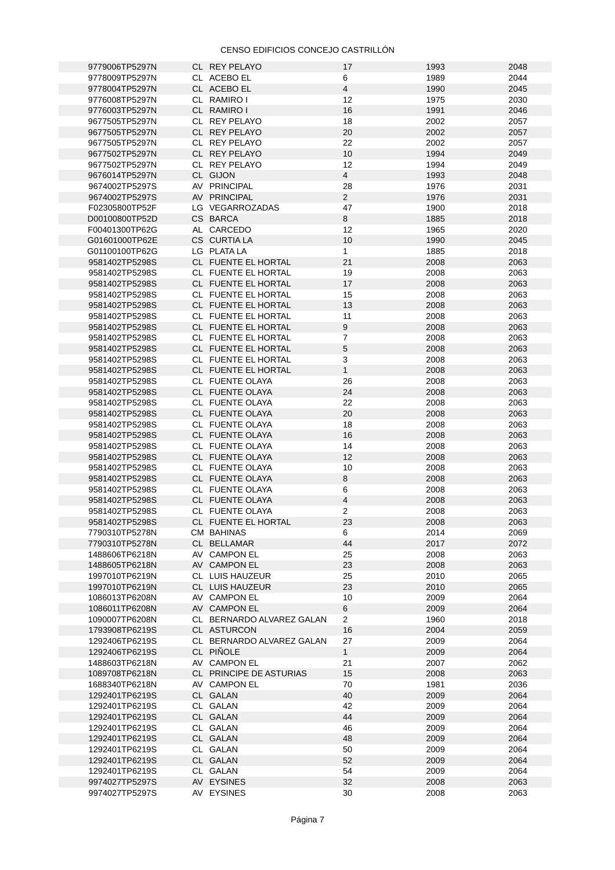| 9779006TP5297N | CL REY PELAYO             | 17             | 1993 | 2048 |
|----------------|---------------------------|----------------|------|------|
|                |                           |                |      |      |
| 9778009TP5297N | CL ACEBO EL               | 6              | 1989 | 2044 |
| 9778004TP5297N | CL ACEBO EL               | $\overline{4}$ | 1990 | 2045 |
| 9776008TP5297N | CL RAMIRO I               | 12             | 1975 | 2030 |
| 9776003TP5297N | CL RAMIRO I               | 16             | 1991 | 2046 |
|                |                           |                |      |      |
| 9677505TP5297N | CL REY PELAYO             | 18             | 2002 | 2057 |
| 9677505TP5297N | CL REY PELAYO             | 20             | 2002 | 2057 |
| 9677505TP5297N | CL REY PELAYO             | 22             | 2002 | 2057 |
| 9677502TP5297N | CL REY PELAYO             | 10             | 1994 | 2049 |
|                | CL REY PELAYO             |                |      |      |
| 9677502TP5297N |                           | 12             | 1994 | 2049 |
| 9676014TP5297N | CL GIJON                  | $\overline{4}$ | 1993 | 2048 |
| 9674002TP5297S | AV PRINCIPAL              | 28             | 1976 | 2031 |
| 9674002TP5297S | AV PRINCIPAL              | $\overline{2}$ | 1976 | 2031 |
|                | LG VEGARROZADAS           | 47             |      |      |
| F02305800TP52F |                           |                | 1900 | 2018 |
| D00100800TP52D | CS BARCA                  | 8              | 1885 | 2018 |
| F00401300TP62G | AL CARCEDO                | 12             | 1965 | 2020 |
| G01601000TP62E | CS CURTIA LA              | 10             | 1990 | 2045 |
|                | LG PLATA LA               | $\mathbf{1}$   | 1885 | 2018 |
| G01100100TP62G |                           |                |      |      |
| 9581402TP5298S | CL FUENTE EL HORTAL       | 21             | 2008 | 2063 |
| 9581402TP5298S | CL FUENTE EL HORTAL       | 19             | 2008 | 2063 |
| 9581402TP5298S | CL FUENTE EL HORTAL       | 17             | 2008 | 2063 |
| 9581402TP5298S | CL FUENTE EL HORTAL       | 15             | 2008 | 2063 |
|                |                           |                |      |      |
| 9581402TP5298S | CL FUENTE EL HORTAL       | 13             | 2008 | 2063 |
| 9581402TP5298S | CL FUENTE EL HORTAL       | 11             | 2008 | 2063 |
| 9581402TP5298S | CL FUENTE EL HORTAL       | 9              | 2008 | 2063 |
| 9581402TP5298S | CL FUENTE EL HORTAL       | $\overline{7}$ | 2008 | 2063 |
|                |                           |                |      |      |
| 9581402TP5298S | CL FUENTE EL HORTAL       | $\mathbf 5$    | 2008 | 2063 |
| 9581402TP5298S | CL FUENTE EL HORTAL       | 3              | 2008 | 2063 |
| 9581402TP5298S | CL FUENTE EL HORTAL       | $\mathbf{1}$   | 2008 | 2063 |
|                |                           |                |      |      |
| 9581402TP5298S | CL FUENTE OLAYA           | 26             | 2008 | 2063 |
| 9581402TP5298S | CL FUENTE OLAYA           | 24             | 2008 | 2063 |
| 9581402TP5298S | CL FUENTE OLAYA           | 22             | 2008 | 2063 |
| 9581402TP5298S | CL FUENTE OLAYA           | 20             | 2008 | 2063 |
| 9581402TP5298S | CL FUENTE OLAYA           | 18             | 2008 | 2063 |
|                |                           |                |      |      |
| 9581402TP5298S | CL FUENTE OLAYA           | 16             | 2008 | 2063 |
| 9581402TP5298S | CL FUENTE OLAYA           | 14             | 2008 | 2063 |
| 9581402TP5298S | CL FUENTE OLAYA           | 12             | 2008 | 2063 |
| 9581402TP5298S | CL FUENTE OLAYA           | 10             | 2008 | 2063 |
|                |                           |                |      |      |
| 9581402TP5298S | CL FUENTE OLAYA           | 8              | 2008 | 2063 |
| 9581402TP5298S | CL FUENTE OLAYA           | 6              | 2008 | 2063 |
| 9581402TP5298S | CL FUENTE OLAYA           | 4              | 2008 | 2063 |
| 9581402TP5298S | CL FUENTE OLAYA           | 2              | 2008 | 2063 |
|                |                           |                |      |      |
| 9581402TP5298S | CL FUENTE EL HORTAL       | 23             | 2008 | 2063 |
| 7790310TP5278N | CM BAHINAS                | 6              | 2014 | 2069 |
| 7790310TP5278N | CL BELLAMAR               | 44             | 2017 | 2072 |
| 1488606TP6218N | AV CAMPON EL              | 25             | 2008 | 2063 |
|                |                           |                |      |      |
| 1488605TP6218N | AV CAMPON EL              | 23             | 2008 | 2063 |
| 1997010TP6219N | CL LUIS HAUZEUR           | 25             | 2010 | 2065 |
| 1997010TP6219N | CL LUIS HAUZEUR           | 23             | 2010 | 2065 |
| 1086013TP6208N | AV CAMPON EL              | 10             | 2009 | 2064 |
|                |                           |                |      |      |
| 1086011TP6208N | AV CAMPON EL              | 6              | 2009 | 2064 |
| 1090007TP6208N | CL BERNARDO ALVAREZ GALAN | $\mathbf{2}$   | 1960 | 2018 |
| 1793908TP6219S | CL ASTURCON               | 16             | 2004 | 2059 |
| 1292406TP6219S | CL BERNARDO ALVAREZ GALAN | 27             | 2009 | 2064 |
|                | CL PIÑOLE                 |                |      |      |
| 1292406TP6219S |                           | $\mathbf{1}$   | 2009 | 2064 |
| 1488603TP6218N | AV CAMPON EL              | 21             | 2007 | 2062 |
| 1089708TP6218N | CL PRINCIPE DE ASTURIAS   | 15             | 2008 | 2063 |
| 1688340TP6218N | AV CAMPON EL              | 70             | 1981 | 2036 |
|                |                           |                |      |      |
| 1292401TP6219S | CL GALAN                  | 40             | 2009 | 2064 |
| 1292401TP6219S | CL GALAN                  | 42             | 2009 | 2064 |
| 1292401TP6219S | CL GALAN                  | 44             | 2009 | 2064 |
| 1292401TP6219S | CL GALAN                  | 46             | 2009 | 2064 |
|                |                           |                |      |      |
| 1292401TP6219S | CL GALAN                  | 48             | 2009 | 2064 |
| 1292401TP6219S | CL GALAN                  | 50             | 2009 | 2064 |
| 1292401TP6219S | CL GALAN                  | 52             | 2009 | 2064 |
| 1292401TP6219S | CL GALAN                  | 54             | 2009 | 2064 |
|                |                           |                |      |      |
| 9974027TP5297S | AV EYSINES                | 32             | 2008 | 2063 |
| 9974027TP5297S | AV EYSINES                | $30\,$         | 2008 | 2063 |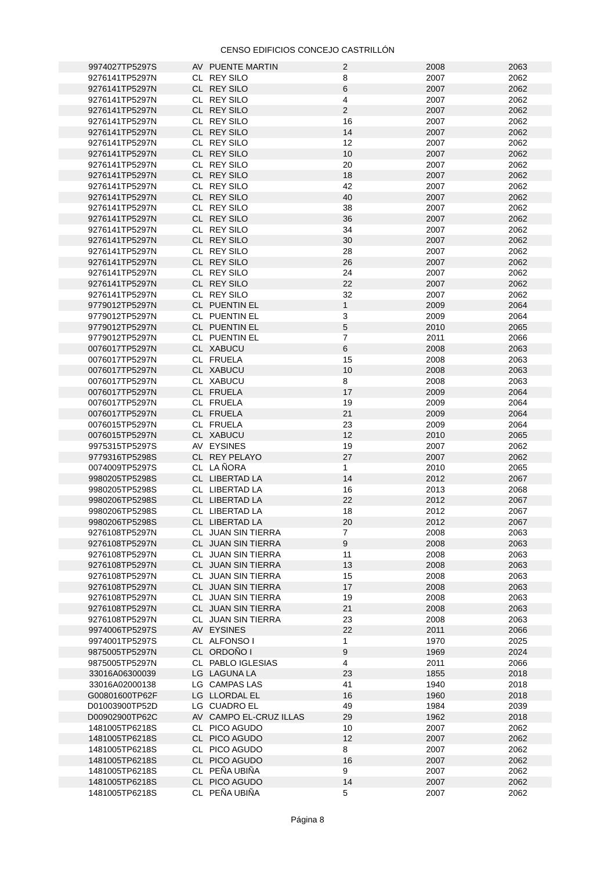| 9974027TP5297S | AV PUENTE MARTIN       | $\overline{2}$ | 2008 | 2063 |
|----------------|------------------------|----------------|------|------|
| 9276141TP5297N | CL REY SILO            | 8              | 2007 | 2062 |
| 9276141TP5297N | CL REY SILO            | 6              | 2007 | 2062 |
| 9276141TP5297N | CL REY SILO            |                |      |      |
|                |                        | 4              | 2007 | 2062 |
| 9276141TP5297N | CL REY SILO            | $\overline{2}$ | 2007 | 2062 |
| 9276141TP5297N | CL REY SILO            | 16             | 2007 | 2062 |
| 9276141TP5297N | CL REY SILO            | 14             | 2007 | 2062 |
| 9276141TP5297N | CL REY SILO            | 12             | 2007 | 2062 |
| 9276141TP5297N | CL REY SILO            | 10             | 2007 | 2062 |
| 9276141TP5297N | CL REY SILO            | 20             | 2007 | 2062 |
| 9276141TP5297N | CL REY SILO            | 18             | 2007 | 2062 |
| 9276141TP5297N | CL REY SILO            | 42             | 2007 | 2062 |
| 9276141TP5297N | CL REY SILO            | 40             | 2007 | 2062 |
| 9276141TP5297N | CL REY SILO            | 38             | 2007 | 2062 |
| 9276141TP5297N | CL REY SILO            | 36             | 2007 | 2062 |
| 9276141TP5297N | CL REY SILO            | 34             | 2007 | 2062 |
| 9276141TP5297N | CL REY SILO            | 30             | 2007 | 2062 |
| 9276141TP5297N | CL REY SILO            | 28             | 2007 | 2062 |
|                |                        |                |      |      |
| 9276141TP5297N | CL REY SILO            | 26             | 2007 | 2062 |
| 9276141TP5297N | CL REY SILO            | 24             | 2007 | 2062 |
| 9276141TP5297N | CL REY SILO            | 22             | 2007 | 2062 |
| 9276141TP5297N | CL REY SILO            | 32             | 2007 | 2062 |
| 9779012TP5297N | CL PUENTIN EL          | $\mathbf{1}$   | 2009 | 2064 |
| 9779012TP5297N | CL PUENTIN EL          | 3              | 2009 | 2064 |
| 9779012TP5297N | CL PUENTIN EL          | 5              | 2010 | 2065 |
| 9779012TP5297N | CL PUENTIN EL          | $\overline{7}$ | 2011 | 2066 |
| 0076017TP5297N | CL XABUCU              | $6\phantom{.}$ | 2008 | 2063 |
| 0076017TP5297N | CL FRUELA              | 15             | 2008 | 2063 |
| 0076017TP5297N | CL XABUCU              | 10             | 2008 | 2063 |
| 0076017TP5297N | CL XABUCU              | 8              | 2008 | 2063 |
| 0076017TP5297N | CL FRUELA              | 17             | 2009 | 2064 |
|                |                        | 19             |      | 2064 |
| 0076017TP5297N | CL FRUELA              |                | 2009 |      |
| 0076017TP5297N | CL FRUELA              | 21             | 2009 | 2064 |
| 0076015TP5297N | CL FRUELA              | 23             | 2009 | 2064 |
| 0076015TP5297N | CL XABUCU              | 12             | 2010 | 2065 |
| 9975315TP5297S | AV EYSINES             | 19             | 2007 | 2062 |
| 9779316TP5298S | CL REY PELAYO          | 27             | 2007 | 2062 |
| 0074009TP5297S | CL LA ÑORA             | $\mathbf{1}$   | 2010 | 2065 |
| 9980205TP5298S | CL LIBERTAD LA         | 14             | 2012 | 2067 |
| 9980205TP5298S | CL LIBERTAD LA         | 16             | 2013 | 2068 |
| 9980206TP5298S | CL LIBERTAD LA         | 22             | 2012 | 2067 |
| 9980206TP5298S | CL LIBERTAD LA         | 18             | 2012 | 2067 |
| 9980206TP5298S | CL LIBERTAD LA         | 20             | 2012 | 2067 |
| 9276108TP5297N | CL JUAN SIN TIERRA     | 7              | 2008 | 2063 |
| 9276108TP5297N | CL JUAN SIN TIERRA     | 9              | 2008 | 2063 |
| 9276108TP5297N | CL JUAN SIN TIERRA     | 11             | 2008 | 2063 |
|                |                        |                |      |      |
| 9276108TP5297N | CL JUAN SIN TIERRA     | 13             | 2008 | 2063 |
| 9276108TP5297N | CL JUAN SIN TIERRA     | 15             | 2008 | 2063 |
| 9276108TP5297N | CL JUAN SIN TIERRA     | 17             | 2008 | 2063 |
| 9276108TP5297N | CL JUAN SIN TIERRA     | 19             | 2008 | 2063 |
| 9276108TP5297N | CL JUAN SIN TIERRA     | 21             | 2008 | 2063 |
| 9276108TP5297N | CL JUAN SIN TIERRA     | 23             | 2008 | 2063 |
| 9974006TP5297S | AV EYSINES             | 22             | 2011 | 2066 |
| 9974001TP5297S | CL ALFONSO I           | $\mathbf{1}$   | 1970 | 2025 |
| 9875005TP5297N | CL ORDOÑO I            | 9              | 1969 | 2024 |
| 9875005TP5297N | CL PABLO IGLESIAS      | 4              | 2011 | 2066 |
| 33016A06300039 | LG LAGUNA LA           | 23             | 1855 | 2018 |
| 33016A02000138 | LG CAMPAS LAS          | 41             | 1940 | 2018 |
| G00801600TP62F | LG LLORDAL EL          | 16             | 1960 | 2018 |
| D01003900TP52D | LG CUADRO EL           | 49             | 1984 | 2039 |
| D00902900TP62C | AV CAMPO EL-CRUZ ILLAS | 29             | 1962 | 2018 |
| 1481005TP6218S | CL PICO AGUDO          | 10             | 2007 | 2062 |
|                |                        |                |      |      |
| 1481005TP6218S | CL PICO AGUDO          | 12             | 2007 | 2062 |
| 1481005TP6218S | CL PICO AGUDO          | 8              | 2007 | 2062 |
| 1481005TP6218S | CL PICO AGUDO          | 16             | 2007 | 2062 |
| 1481005TP6218S | CL PEÑA UBIÑA          | 9              | 2007 | 2062 |
| 1481005TP6218S | CL PICO AGUDO          | 14             | 2007 | 2062 |
| 1481005TP6218S | CL PEÑA UBIÑA          | 5              | 2007 | 2062 |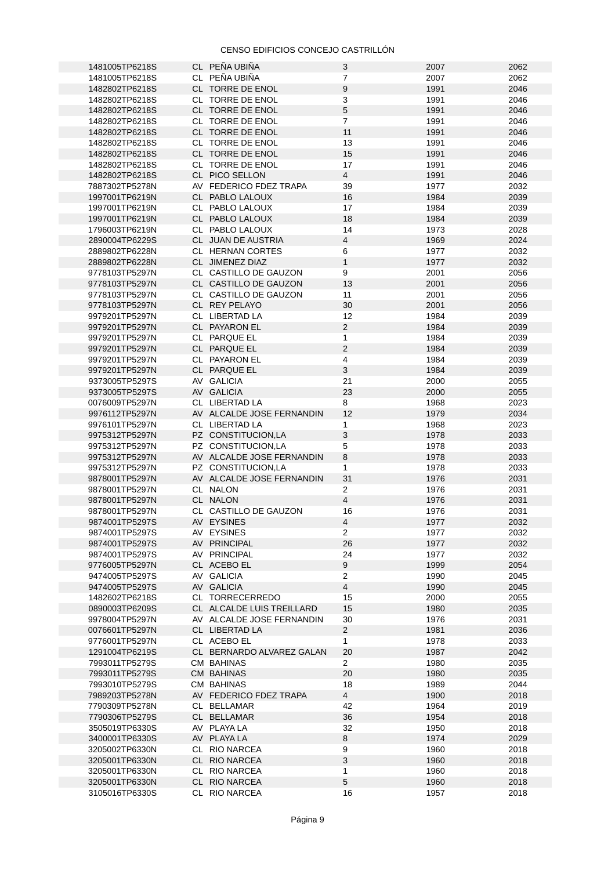| 1481005TP6218S                   | CL PEÑA UBIÑA                                          | 3                              | 2007         | 2062         |
|----------------------------------|--------------------------------------------------------|--------------------------------|--------------|--------------|
| 1481005TP6218S                   | CL PEÑA UBIÑA                                          | $\overline{7}$                 | 2007         | 2062         |
| 1482802TP6218S                   | CL TORRE DE ENOL                                       | $\boldsymbol{9}$               | 1991         | 2046         |
| 1482802TP6218S                   | CL TORRE DE ENOL                                       | 3                              | 1991         | 2046         |
| 1482802TP6218S                   | CL TORRE DE ENOL                                       | 5                              | 1991         | 2046         |
| 1482802TP6218S                   | CL TORRE DE ENOL                                       | $\overline{7}$                 | 1991         | 2046         |
| 1482802TP6218S                   | CL TORRE DE ENOL                                       | 11                             | 1991         | 2046         |
| 1482802TP6218S                   | CL TORRE DE ENOL                                       | 13                             | 1991         | 2046         |
| 1482802TP6218S                   | CL TORRE DE ENOL                                       | 15                             | 1991         | 2046         |
| 1482802TP6218S                   | CL TORRE DE ENOL                                       | 17                             | 1991         | 2046         |
| 1482802TP6218S                   | CL PICO SELLON                                         | $\overline{4}$                 | 1991         | 2046         |
| 7887302TP5278N                   | AV FEDERICO FDEZ TRAPA                                 | 39                             | 1977         | 2032         |
| 1997001TP6219N                   | CL PABLO LALOUX                                        | 16                             | 1984         | 2039         |
| 1997001TP6219N                   | CL PABLO LALOUX                                        | 17                             | 1984         | 2039         |
| 1997001TP6219N                   | CL PABLO LALOUX                                        | 18                             | 1984         | 2039         |
| 1796003TP6219N                   | CL PABLO LALOUX                                        | 14                             | 1973         | 2028         |
| 2890004TP6229S                   | CL JUAN DE AUSTRIA                                     | $\overline{4}$                 | 1969         | 2024         |
| 2889802TP6228N                   | CL HERNAN CORTES                                       | 6                              | 1977         | 2032         |
| 2889802TP6228N                   | CL JIMENEZ DIAZ                                        | $\mathbf{1}$                   | 1977         | 2032         |
| 9778103TP5297N                   | CL CASTILLO DE GAUZON                                  | 9                              | 2001         | 2056         |
| 9778103TP5297N                   | CL CASTILLO DE GAUZON                                  | 13                             | 2001         | 2056         |
| 9778103TP5297N                   | CL CASTILLO DE GAUZON                                  | 11                             | 2001         | 2056         |
| 9778103TP5297N                   | CL REY PELAYO                                          | 30                             | 2001         | 2056         |
| 9979201TP5297N                   | CL LIBERTAD LA                                         | 12                             | 1984         | 2039         |
| 9979201TP5297N                   | CL PAYARON EL                                          | $\overline{2}$                 | 1984         | 2039         |
| 9979201TP5297N                   | CL PARQUE EL                                           | $\mathbf{1}$                   | 1984         | 2039         |
| 9979201TP5297N                   | CL PARQUE EL                                           | $\overline{2}$                 | 1984         | 2039         |
| 9979201TP5297N                   | CL PAYARON EL                                          |                                | 1984         | 2039         |
|                                  |                                                        | 4<br>3                         |              |              |
| 9979201TP5297N                   | CL PARQUE EL                                           |                                | 1984         | 2039         |
| 9373005TP5297S                   | AV GALICIA                                             | 21                             | 2000         | 2055         |
| 9373005TP5297S                   | AV GALICIA                                             | 23                             | 2000         | 2055         |
| 0076009TP5297N                   | CL LIBERTAD LA                                         | 8                              | 1968         | 2023         |
| 9976112TP5297N                   | AV ALCALDE JOSE FERNANDIN                              | 12                             | 1979         | 2034         |
| 9976101TP5297N                   | CL LIBERTAD LA                                         | 1                              | 1968         | 2023         |
| 9975312TP5297N                   | PZ CONSTITUCION,LA                                     | 3                              | 1978         | 2033         |
| 9975312TP5297N                   | PZ CONSTITUCION,LA                                     | 5                              | 1978         | 2033         |
| 9975312TP5297N                   | AV ALCALDE JOSE FERNANDIN                              | $\,8\,$                        | 1978         | 2033         |
| 9975312TP5297N                   | PZ CONSTITUCION,LA                                     | $\mathbf{1}$                   | 1978         | 2033         |
| 9878001TP5297N<br>9878001TP5297N | AV ALCALDE JOSE FERNANDIN                              | 31<br>$\overline{2}$           | 1976         | 2031         |
| 9878001TP5297N                   | CL NALON<br>CL NALON                                   | $\overline{4}$                 | 1976<br>1976 | 2031<br>2031 |
| 9878001TP5297N                   | CL CASTILLO DE GAUZON                                  | 16                             | 1976         | 2031         |
| 9874001TP5297S                   |                                                        |                                |              | 2032         |
|                                  | AV EYSINES                                             | $\overline{4}$<br>$\mathbf{2}$ | 1977         | 2032         |
| 9874001TP5297S                   | AV EYSINES                                             |                                | 1977         |              |
| 9874001TP5297S                   | AV PRINCIPAL                                           | 26<br>24                       | 1977         | 2032<br>2032 |
| 9874001TP5297S                   | AV PRINCIPAL                                           | $9\,$                          | 1977         |              |
| 9776005TP5297N                   | CL ACEBO EL                                            |                                | 1999         | 2054         |
| 9474005TP5297S                   | AV GALICIA                                             | $\mathbf{2}$<br>$\overline{4}$ | 1990         | 2045         |
| 9474005TP5297S<br>1482602TP6218S | AV GALICIA<br>CL TORRECERREDO                          | 15                             | 1990<br>2000 | 2045<br>2055 |
|                                  |                                                        |                                |              |              |
| 0890003TP6209S                   | CL ALCALDE LUIS TREILLARD<br>AV ALCALDE JOSE FERNANDIN | 15                             | 1980         | 2035         |
| 9978004TP5297N                   |                                                        | 30                             | 1976         | 2031         |
| 0076601TP5297N                   | CL LIBERTAD LA                                         | $2^{\circ}$<br>$\mathbf{1}$    | 1981         | 2036<br>2033 |
| 9776001TP5297N                   | CL ACEBO EL                                            |                                | 1978         |              |
| 1291004TP6219S                   | CL BERNARDO ALVAREZ GALAN                              | 20                             | 1987         | 2042         |
| 7993011TP5279S                   | <b>CM BAHINAS</b>                                      | $\mathbf{2}$                   | 1980         | 2035         |
| 7993011TP5279S                   | <b>CM BAHINAS</b>                                      | 20                             | 1980         | 2035         |
| 7993010TP5279S                   | <b>CM BAHINAS</b>                                      | 18                             | 1989         | 2044         |
| 7989203TP5278N                   | AV FEDERICO FDEZ TRAPA                                 | $\overline{4}$                 | 1900         | 2018         |
| 7790309TP5278N                   | CL BELLAMAR                                            | 42                             | 1964         | 2019         |
| 7790306TP5279S                   | CL BELLAMAR                                            | 36                             | 1954         | 2018         |
| 3505019TP6330S                   | AV PLAYA LA                                            | 32                             | 1950         | 2018         |
| 3400001TP6330S                   | AV PLAYA LA                                            | $\, 8$                         | 1974         | 2029         |
| 3205002TP6330N                   | CL RIO NARCEA                                          | 9                              | 1960         | 2018         |
| 3205001TP6330N                   | CL RIO NARCEA                                          | 3                              | 1960         | 2018         |
| 3205001TP6330N                   | CL RIO NARCEA                                          | $\mathbf{1}$                   | 1960         | 2018         |
| 3205001TP6330N                   | CL RIO NARCEA                                          | 5                              | 1960         | 2018         |
| 3105016TP6330S                   | CL RIO NARCEA                                          | 16                             | 1957         | 2018         |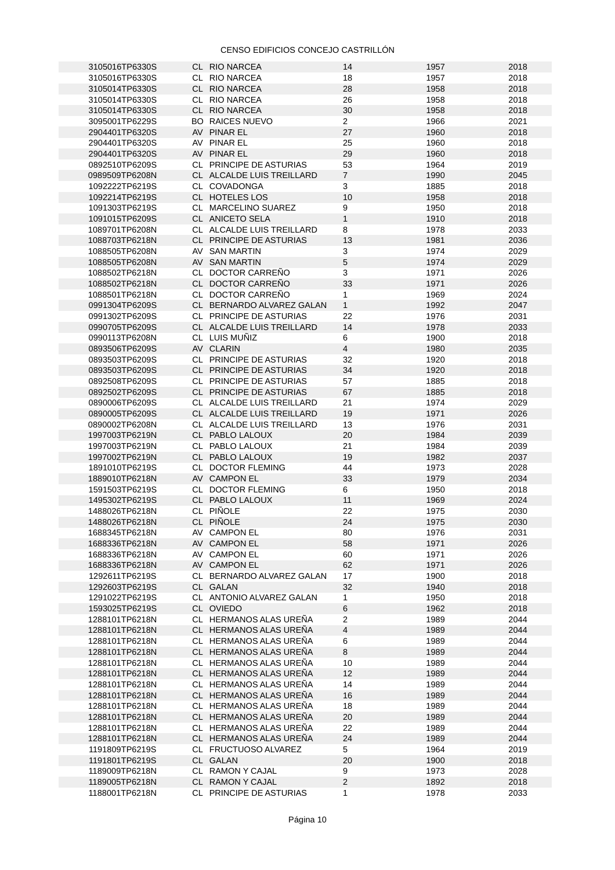| 3105016TP6330S | CL RIO NARCEA             | 14             | 1957 | 2018 |
|----------------|---------------------------|----------------|------|------|
|                |                           |                |      |      |
| 3105016TP6330S | CL RIO NARCEA             | 18             | 1957 | 2018 |
| 3105014TP6330S | CL RIO NARCEA             | 28             | 1958 | 2018 |
| 3105014TP6330S | CL RIO NARCEA             | 26             | 1958 | 2018 |
| 3105014TP6330S | CL RIO NARCEA             | 30             | 1958 | 2018 |
| 3095001TP6229S | <b>BO RAICES NUEVO</b>    | $2^{\circ}$    | 1966 | 2021 |
| 2904401TP6320S | AV PINAR EL               | 27             | 1960 | 2018 |
|                |                           |                |      |      |
| 2904401TP6320S | AV PINAR EL               | 25             | 1960 | 2018 |
| 2904401TP6320S | AV PINAR EL               | 29             | 1960 | 2018 |
| 0892510TP6209S | CL PRINCIPE DE ASTURIAS   | 53             | 1964 | 2019 |
| 0989509TP6208N | CL ALCALDE LUIS TREILLARD | $\overline{7}$ | 1990 | 2045 |
| 1092222TP6219S | CL COVADONGA              | 3              | 1885 | 2018 |
| 1092214TP6219S | CL HOTELES LOS            | 10             | 1958 | 2018 |
|                |                           |                |      |      |
| 1091303TP6219S | CL MARCELINO SUAREZ       | 9              | 1950 | 2018 |
| 1091015TP6209S | CL ANICETO SELA           | $\mathbf{1}$   | 1910 | 2018 |
| 1089701TP6208N | CL ALCALDE LUIS TREILLARD | 8              | 1978 | 2033 |
| 1088703TP6218N | CL PRINCIPE DE ASTURIAS   | 13             | 1981 | 2036 |
| 1088505TP6208N | AV SAN MARTIN             | 3              | 1974 | 2029 |
| 1088505TP6208N | AV SAN MARTIN             | 5              | 1974 | 2029 |
|                |                           |                |      |      |
| 1088502TP6218N | CL DOCTOR CARREÑO         | 3              | 1971 | 2026 |
| 1088502TP6218N | CL DOCTOR CARREÑO         | 33             | 1971 | 2026 |
| 1088501TP6218N | CL DOCTOR CARREÑO         | $\mathbf{1}$   | 1969 | 2024 |
| 0991304TP6209S | CL BERNARDO ALVAREZ GALAN | $\mathbf{1}$   | 1992 | 2047 |
| 0991302TP6209S | CL PRINCIPE DE ASTURIAS   | 22             | 1976 | 2031 |
| 0990705TP6209S | CL ALCALDE LUIS TREILLARD | 14             | 1978 | 2033 |
|                |                           |                |      |      |
| 0990113TP6208N | CL LUIS MUÑIZ             | 6              | 1900 | 2018 |
| 0893506TP6209S | AV CLARIN                 | $\overline{4}$ | 1980 | 2035 |
| 0893503TP6209S | CL PRINCIPE DE ASTURIAS   | 32             | 1920 | 2018 |
| 0893503TP6209S | CL PRINCIPE DE ASTURIAS   | 34             | 1920 | 2018 |
| 0892508TP6209S | CL PRINCIPE DE ASTURIAS   | 57             | 1885 | 2018 |
| 0892502TP6209S | CL PRINCIPE DE ASTURIAS   | 67             | 1885 | 2018 |
| 0890006TP6209S | CL ALCALDE LUIS TREILLARD | 21             | 1974 | 2029 |
|                |                           | 19             |      | 2026 |
| 0890005TP6209S | CL ALCALDE LUIS TREILLARD |                | 1971 |      |
| 0890002TP6208N | CL ALCALDE LUIS TREILLARD | 13             | 1976 | 2031 |
| 1997003TP6219N | CL PABLO LALOUX           | 20             | 1984 | 2039 |
| 1997003TP6219N | CL PABLO LALOUX           | 21             | 1984 | 2039 |
| 1997002TP6219N | CL PABLO LALOUX           | 19             | 1982 | 2037 |
| 1891010TP6219S | CL DOCTOR FLEMING         | 44             | 1973 | 2028 |
| 1889010TP6218N | AV CAMPON EL              | 33             | 1979 | 2034 |
| 1591503TP6219S | CL DOCTOR FLEMING         | 6              | 1950 | 2018 |
| 1495302TP6219S | CL PABLO LALOUX           | 11             | 1969 | 2024 |
|                |                           |                |      |      |
| 1488026TP6218N | CL PIÑOLE                 | 22             | 1975 | 2030 |
| 1488026TP6218N | CL PIÑOLE                 | 24             | 1975 | 2030 |
| 1688345TP6218N | AV CAMPON EL              | 80             | 1976 | 2031 |
| 1688336TP6218N | AV CAMPON EL              | 58             | 1971 | 2026 |
| 1688336TP6218N | AV CAMPON EL              | 60             | 1971 | 2026 |
| 1688336TP6218N | AV CAMPON EL              | 62             | 1971 | 2026 |
|                |                           |                |      |      |
| 1292611TP6219S | CL BERNARDO ALVAREZ GALAN | 17             | 1900 | 2018 |
| 1292603TP6219S | CL GALAN                  | 32             | 1940 | 2018 |
| 1291022TP6219S | CL ANTONIO ALVAREZ GALAN  | $\mathbf{1}$   | 1950 | 2018 |
| 1593025TP6219S | CL OVIEDO                 | 6              | 1962 | 2018 |
| 1288101TP6218N | CL HERMANOS ALAS UREÑA    | $\overline{c}$ | 1989 | 2044 |
| 1288101TP6218N | CL HERMANOS ALAS UREÑA    | $\overline{4}$ | 1989 | 2044 |
| 1288101TP6218N | CL HERMANOS ALAS UREÑA    | 6              | 1989 | 2044 |
|                | CL HERMANOS ALAS UREÑA    | 8              |      | 2044 |
| 1288101TP6218N |                           |                | 1989 |      |
| 1288101TP6218N | CL HERMANOS ALAS UREÑA    | 10             | 1989 | 2044 |
| 1288101TP6218N | CL HERMANOS ALAS UREÑA    | 12             | 1989 | 2044 |
| 1288101TP6218N | CL HERMANOS ALAS UREÑA    | 14             | 1989 | 2044 |
| 1288101TP6218N | CL HERMANOS ALAS UREÑA    | 16             | 1989 | 2044 |
| 1288101TP6218N | CL HERMANOS ALAS UREÑA    | 18             | 1989 | 2044 |
| 1288101TP6218N | CL HERMANOS ALAS UREÑA    | $20\,$         | 1989 | 2044 |
| 1288101TP6218N | CL HERMANOS ALAS UREÑA    | 22             | 1989 | 2044 |
| 1288101TP6218N | CL HERMANOS ALAS UREÑA    | 24             | 1989 | 2044 |
|                |                           |                |      |      |
| 1191809TP6219S | CL FRUCTUOSO ALVAREZ      | 5              | 1964 | 2019 |
| 1191801TP6219S | CL GALAN                  | 20             | 1900 | 2018 |
| 1189009TP6218N | CL RAMON Y CAJAL          | 9              | 1973 | 2028 |
| 1189005TP6218N | CL RAMON Y CAJAL          | $\overline{2}$ | 1892 | 2018 |
| 1188001TP6218N | CL PRINCIPE DE ASTURIAS   | 1              | 1978 | 2033 |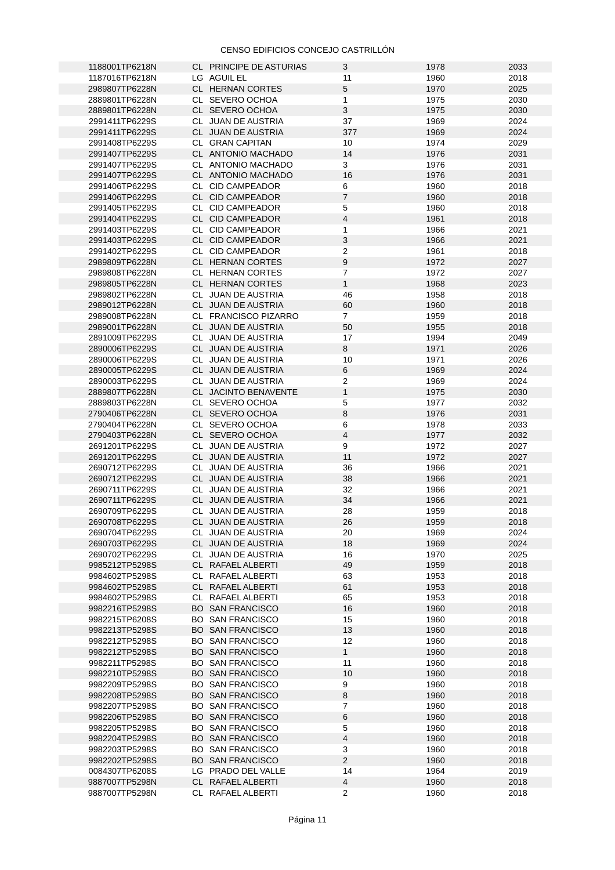| 1188001TP6218N | <b>CL PRINCIPE DE ASTURIAS</b> | 3                | 1978 | 2033 |
|----------------|--------------------------------|------------------|------|------|
|                |                                |                  |      |      |
| 1187016TP6218N | LG AGUIL EL                    | 11               | 1960 | 2018 |
| 2989807TP6228N | CL HERNAN CORTES               | 5                | 1970 | 2025 |
| 2889801TP6228N | CL SEVERO OCHOA                | $\mathbf{1}$     | 1975 | 2030 |
| 2889801TP6228N | CL SEVERO OCHOA                | 3                | 1975 | 2030 |
| 2991411TP6229S | CL JUAN DE AUSTRIA             | 37               | 1969 | 2024 |
| 2991411TP6229S | CL JUAN DE AUSTRIA             | 377              | 1969 | 2024 |
|                |                                |                  |      |      |
| 2991408TP6229S | CL GRAN CAPITAN                | 10               | 1974 | 2029 |
| 2991407TP6229S | CL ANTONIO MACHADO             | 14               | 1976 | 2031 |
| 2991407TP6229S | CL ANTONIO MACHADO             | 3                | 1976 | 2031 |
| 2991407TP6229S | CL ANTONIO MACHADO             | 16               | 1976 | 2031 |
| 2991406TP6229S | CL CID CAMPEADOR               | 6                | 1960 | 2018 |
| 2991406TP6229S | CL CID CAMPEADOR               | $\overline{7}$   | 1960 | 2018 |
|                | CL CID CAMPEADOR               |                  |      |      |
| 2991405TP6229S |                                | 5                | 1960 | 2018 |
| 2991404TP6229S | CL CID CAMPEADOR               | $\overline{4}$   | 1961 | 2018 |
| 2991403TP6229S | CL CID CAMPEADOR               | 1                | 1966 | 2021 |
| 2991403TP6229S | CL CID CAMPEADOR               | 3                | 1966 | 2021 |
| 2991402TP6229S | CL CID CAMPEADOR               | $\overline{2}$   | 1961 | 2018 |
| 2989809TP6228N | CL HERNAN CORTES               | $\boldsymbol{9}$ | 1972 | 2027 |
| 2989808TP6228N | CL HERNAN CORTES               | $\overline{7}$   | 1972 | 2027 |
|                |                                | $\mathbf{1}$     |      |      |
| 2989805TP6228N | CL HERNAN CORTES               |                  | 1968 | 2023 |
| 2989802TP6228N | CL JUAN DE AUSTRIA             | 46               | 1958 | 2018 |
| 2989012TP6228N | CL JUAN DE AUSTRIA             | 60               | 1960 | 2018 |
| 2989008TP6228N | CL FRANCISCO PIZARRO           | $\overline{7}$   | 1959 | 2018 |
| 2989001TP6228N | CL JUAN DE AUSTRIA             | 50               | 1955 | 2018 |
| 2891009TP6229S | CL JUAN DE AUSTRIA             | 17               | 1994 | 2049 |
| 2890006TP6229S | CL JUAN DE AUSTRIA             | 8                | 1971 | 2026 |
| 2890006TP6229S |                                |                  | 1971 | 2026 |
|                | CL JUAN DE AUSTRIA             | 10               |      |      |
| 2890005TP6229S | CL JUAN DE AUSTRIA             | 6                | 1969 | 2024 |
| 2890003TP6229S | CL JUAN DE AUSTRIA             | $\overline{2}$   | 1969 | 2024 |
| 2889807TP6228N | CL JACINTO BENAVENTE           | $\mathbf{1}$     | 1975 | 2030 |
| 2889803TP6228N | CL SEVERO OCHOA                | 5                | 1977 | 2032 |
| 2790406TP6228N | CL SEVERO OCHOA                | 8                | 1976 | 2031 |
| 2790404TP6228N | CL SEVERO OCHOA                | 6                | 1978 | 2033 |
| 2790403TP6228N | CL SEVERO OCHOA                | $\overline{4}$   | 1977 | 2032 |
|                |                                |                  |      |      |
| 2691201TP6229S | CL JUAN DE AUSTRIA             | 9                | 1972 | 2027 |
| 2691201TP6229S | CL JUAN DE AUSTRIA             | 11               | 1972 | 2027 |
| 2690712TP6229S | CL JUAN DE AUSTRIA             | 36               | 1966 | 2021 |
| 2690712TP6229S | CL JUAN DE AUSTRIA             | 38               | 1966 | 2021 |
| 2690711TP6229S | CL JUAN DE AUSTRIA             | 32               | 1966 | 2021 |
| 2690711TP6229S | CL JUAN DE AUSTRIA             | 34               | 1966 | 2021 |
| 2690709TP6229S | CL JUAN DE AUSTRIA             | 28               | 1959 | 2018 |
|                |                                | 26               | 1959 |      |
| 2690708TP6229S | CL JUAN DE AUSTRIA             |                  |      | 2018 |
| 2690704TP6229S | CL JUAN DE AUSTRIA             | 20               | 1969 | 2024 |
| 2690703TP6229S | CL JUAN DE AUSTRIA             | 18               | 1969 | 2024 |
| 2690702TP6229S | CL JUAN DE AUSTRIA             | 16               | 1970 | 2025 |
| 9985212TP5298S | CL RAFAEL ALBERTI              | 49               | 1959 | 2018 |
| 9984602TP5298S | CL RAFAEL ALBERTI              | 63               | 1953 | 2018 |
| 9984602TP5298S | CL RAFAEL ALBERTI              | 61               | 1953 | 2018 |
| 9984602TP5298S | CL RAFAEL ALBERTI              | 65               | 1953 | 2018 |
| 9982216TP5298S |                                |                  |      |      |
|                | <b>BO SAN FRANCISCO</b>        | 16               | 1960 | 2018 |
| 9982215TP6208S | <b>BO SAN FRANCISCO</b>        | 15               | 1960 | 2018 |
| 9982213TP5298S | <b>BO SAN FRANCISCO</b>        | 13               | 1960 | 2018 |
| 9982212TP5298S | <b>BO SAN FRANCISCO</b>        | 12               | 1960 | 2018 |
| 9982212TP5298S | <b>BO SAN FRANCISCO</b>        | $\mathbf 1$      | 1960 | 2018 |
| 9982211TP5298S | <b>BO SAN FRANCISCO</b>        | 11               | 1960 | 2018 |
| 9982210TP5298S | <b>BO SAN FRANCISCO</b>        | 10               | 1960 | 2018 |
| 9982209TP5298S | <b>BO SAN FRANCISCO</b>        | 9                | 1960 | 2018 |
|                |                                |                  |      |      |
| 9982208TP5298S | <b>BO SAN FRANCISCO</b>        | 8                | 1960 | 2018 |
| 9982207TP5298S | <b>BO SAN FRANCISCO</b>        | 7                | 1960 | 2018 |
| 9982206TP5298S | <b>BO SAN FRANCISCO</b>        | 6                | 1960 | 2018 |
| 9982205TP5298S | <b>BO SAN FRANCISCO</b>        | 5                | 1960 | 2018 |
| 9982204TP5298S | <b>BO SAN FRANCISCO</b>        | 4                | 1960 | 2018 |
| 9982203TP5298S | <b>BO SAN FRANCISCO</b>        | 3                | 1960 | 2018 |
| 9982202TP5298S | <b>BO SAN FRANCISCO</b>        | $\overline{2}$   | 1960 | 2018 |
| 0084307TP6208S | LG PRADO DEL VALLE             | 14               | 1964 | 2019 |
| 9887007TP5298N | CL RAFAEL ALBERTI              | $\overline{4}$   | 1960 | 2018 |
|                |                                |                  |      |      |
| 9887007TP5298N | CL RAFAEL ALBERTI              | $\overline{2}$   | 1960 | 2018 |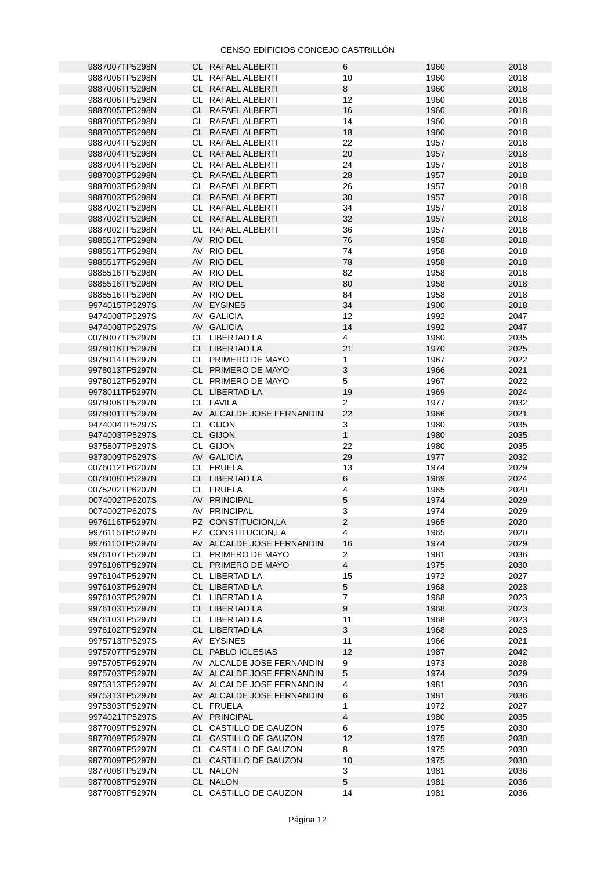| 9887007TP5298N | CL RAFAEL ALBERTI         | 6              | 1960 | 2018 |
|----------------|---------------------------|----------------|------|------|
| 9887006TP5298N | CL RAFAEL ALBERTI         | 10             | 1960 | 2018 |
| 9887006TP5298N | CL RAFAEL ALBERTI         | 8              | 1960 | 2018 |
| 9887006TP5298N | CL RAFAEL ALBERTI         | 12             | 1960 | 2018 |
|                |                           |                |      |      |
| 9887005TP5298N | CL RAFAEL ALBERTI         | 16             | 1960 | 2018 |
| 9887005TP5298N | CL RAFAEL ALBERTI         | 14             | 1960 | 2018 |
| 9887005TP5298N | CL RAFAEL ALBERTI         | 18             | 1960 | 2018 |
|                |                           | 22             | 1957 |      |
| 9887004TP5298N | CL RAFAEL ALBERTI         |                |      | 2018 |
| 9887004TP5298N | CL RAFAEL ALBERTI         | 20             | 1957 | 2018 |
| 9887004TP5298N | CL RAFAEL ALBERTI         | 24             | 1957 | 2018 |
| 9887003TP5298N | CL RAFAEL ALBERTI         | 28             | 1957 | 2018 |
|                |                           |                |      |      |
| 9887003TP5298N | CL RAFAEL ALBERTI         | 26             | 1957 | 2018 |
| 9887003TP5298N | CL RAFAEL ALBERTI         | 30             | 1957 | 2018 |
| 9887002TP5298N | CL RAFAEL ALBERTI         | 34             | 1957 | 2018 |
|                |                           | 32             | 1957 | 2018 |
| 9887002TP5298N | CL RAFAEL ALBERTI         |                |      |      |
| 9887002TP5298N | CL RAFAEL ALBERTI         | 36             | 1957 | 2018 |
| 9885517TP5298N | AV RIO DEL                | 76             | 1958 | 2018 |
| 9885517TP5298N | AV RIO DEL                | 74             | 1958 | 2018 |
|                |                           |                |      |      |
| 9885517TP5298N | AV RIO DEL                | 78             | 1958 | 2018 |
| 9885516TP5298N | AV RIO DEL                | 82             | 1958 | 2018 |
| 9885516TP5298N | AV RIO DEL                | 80             | 1958 | 2018 |
| 9885516TP5298N | AV RIO DEL                | 84             | 1958 | 2018 |
|                |                           |                |      |      |
| 9974015TP5297S | AV EYSINES                | 34             | 1900 | 2018 |
| 9474008TP5297S | AV GALICIA                | 12             | 1992 | 2047 |
| 9474008TP5297S | AV GALICIA                | 14             | 1992 | 2047 |
|                |                           |                |      |      |
| 0076007TP5297N | CL LIBERTAD LA            | 4              | 1980 | 2035 |
| 9978016TP5297N | CL LIBERTAD LA            | 21             | 1970 | 2025 |
| 9978014TP5297N | CL PRIMERO DE MAYO        | 1              | 1967 | 2022 |
|                |                           | 3              |      |      |
| 9978013TP5297N | CL PRIMERO DE MAYO        |                | 1966 | 2021 |
| 9978012TP5297N | CL PRIMERO DE MAYO        | 5              | 1967 | 2022 |
| 9978011TP5297N | CL LIBERTAD LA            | 19             | 1969 | 2024 |
| 9978006TP5297N | CL FAVILA                 | $\overline{2}$ | 1977 | 2032 |
|                |                           |                |      |      |
| 9978001TP5297N | AV ALCALDE JOSE FERNANDIN | 22             | 1966 | 2021 |
| 9474004TP5297S | CL GIJON                  | 3              | 1980 | 2035 |
| 9474003TP5297S | CL GIJON                  | $\mathbf{1}$   | 1980 | 2035 |
|                |                           |                |      |      |
| 9375807TP5297S | CL GIJON                  | 22             | 1980 | 2035 |
| 9373009TP5297S | AV GALICIA                | 29             | 1977 | 2032 |
| 0076012TP6207N | CL FRUELA                 | 13             | 1974 | 2029 |
| 0076008TP5297N | CL LIBERTAD LA            | $\,6$          | 1969 | 2024 |
|                |                           |                |      |      |
| 0075202TP6207N | CL FRUELA                 | 4              | 1965 | 2020 |
| 0074002TP6207S | AV PRINCIPAL              | 5              | 1974 | 2029 |
| 0074002TP6207S | AV PRINCIPAL              | 3              | 1974 | 2029 |
| 9976116TP5297N | PZ CONSTITUCION,LA        | $\overline{2}$ | 1965 | 2020 |
|                |                           |                |      |      |
| 9976115TP5297N | PZ CONSTITUCION,LA        | 4              | 1965 | 2020 |
| 9976110TP5297N | AV ALCALDE JOSE FERNANDIN | 16             | 1974 | 2029 |
| 9976107TP5297N | CL PRIMERO DE MAYO        | $\overline{2}$ | 1981 | 2036 |
|                |                           |                |      |      |
| 9976106TP5297N | CL PRIMERO DE MAYO        | $\overline{4}$ | 1975 | 2030 |
| 9976104TP5297N | CL LIBERTAD LA            | 15             | 1972 | 2027 |
| 9976103TP5297N | CL LIBERTAD LA            | 5              | 1968 | 2023 |
| 9976103TP5297N | CL LIBERTAD LA            | $\overline{7}$ | 1968 | 2023 |
|                |                           |                |      |      |
| 9976103TP5297N | CL LIBERTAD LA            | 9              | 1968 | 2023 |
| 9976103TP5297N | CL LIBERTAD LA            | 11             | 1968 | 2023 |
| 9976102TP5297N | CL LIBERTAD LA            | $\mathbf{3}$   | 1968 | 2023 |
| 9975713TP5297S | AV EYSINES                | $11\,$         | 1966 | 2021 |
|                |                           |                |      |      |
| 9975707TP5297N | CL PABLO IGLESIAS         | 12             | 1987 | 2042 |
| 9975705TP5297N | AV ALCALDE JOSE FERNANDIN | 9              | 1973 | 2028 |
| 9975703TP5297N | AV ALCALDE JOSE FERNANDIN | 5              | 1974 | 2029 |
|                |                           |                |      |      |
| 9975313TP5297N | AV ALCALDE JOSE FERNANDIN | 4              | 1981 | 2036 |
| 9975313TP5297N | AV ALCALDE JOSE FERNANDIN | 6              | 1981 | 2036 |
| 9975303TP5297N | CL FRUELA                 | 1              | 1972 | 2027 |
| 9974021TP5297S | AV PRINCIPAL              | $\overline{4}$ | 1980 | 2035 |
|                |                           |                |      |      |
| 9877009TP5297N | CL CASTILLO DE GAUZON     | 6              | 1975 | 2030 |
| 9877009TP5297N | CL CASTILLO DE GAUZON     | 12             | 1975 | 2030 |
| 9877009TP5297N | CL CASTILLO DE GAUZON     | 8              | 1975 | 2030 |
| 9877009TP5297N | CL CASTILLO DE GAUZON     | 10             | 1975 | 2030 |
|                |                           |                |      |      |
| 9877008TP5297N | CL NALON                  | 3              | 1981 | 2036 |
| 9877008TP5297N | CL NALON                  | 5              | 1981 | 2036 |
| 9877008TP5297N | CL CASTILLO DE GAUZON     | 14             | 1981 | 2036 |
|                |                           |                |      |      |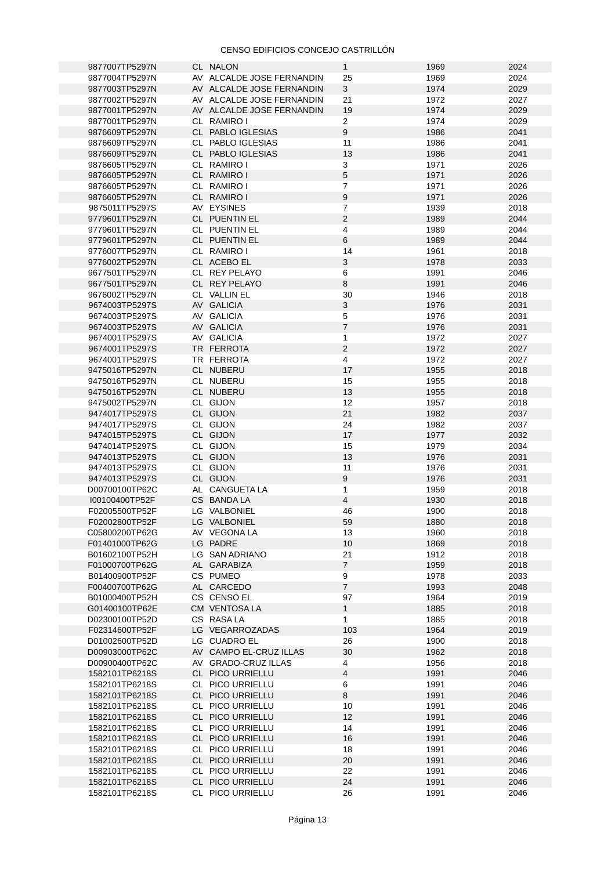| 9877007TP5297N | CL NALON                  | $\mathbf{1}$   | 1969 | 2024 |
|----------------|---------------------------|----------------|------|------|
| 9877004TP5297N | AV ALCALDE JOSE FERNANDIN | 25             | 1969 | 2024 |
|                |                           |                |      |      |
| 9877003TP5297N | AV ALCALDE JOSE FERNANDIN | 3              | 1974 | 2029 |
| 9877002TP5297N | AV ALCALDE JOSE FERNANDIN | 21             | 1972 | 2027 |
| 9877001TP5297N | AV ALCALDE JOSE FERNANDIN | 19             | 1974 | 2029 |
|                |                           |                |      |      |
| 9877001TP5297N | CL RAMIRO I               | $\overline{2}$ | 1974 | 2029 |
| 9876609TP5297N | CL PABLO IGLESIAS         | 9              | 1986 | 2041 |
|                |                           |                |      |      |
| 9876609TP5297N | CL PABLO IGLESIAS         | 11             | 1986 | 2041 |
| 9876609TP5297N | CL PABLO IGLESIAS         | 13             | 1986 | 2041 |
| 9876605TP5297N | CL RAMIRO I               | 3              | 1971 | 2026 |
|                |                           |                |      |      |
| 9876605TP5297N | CL RAMIRO I               | 5              | 1971 | 2026 |
| 9876605TP5297N | CL RAMIRO I               | $\overline{7}$ | 1971 | 2026 |
| 9876605TP5297N | CL RAMIRO I               | 9              | 1971 | 2026 |
|                |                           |                |      |      |
| 9875011TP5297S | AV EYSINES                | $\overline{7}$ | 1939 | 2018 |
| 9779601TP5297N | CL PUENTIN EL             | $\overline{2}$ | 1989 | 2044 |
|                |                           | $\overline{4}$ | 1989 | 2044 |
| 9779601TP5297N | CL PUENTIN EL             |                |      |      |
| 9779601TP5297N | CL PUENTIN EL             | 6              | 1989 | 2044 |
| 9776007TP5297N | CL RAMIRO I               | 14             | 1961 | 2018 |
|                |                           |                |      |      |
| 9776002TP5297N | CL ACEBO EL               | 3              | 1978 | 2033 |
| 9677501TP5297N | CL REY PELAYO             | 6              | 1991 | 2046 |
| 9677501TP5297N | CL REY PELAYO             | 8              | 1991 | 2046 |
|                |                           |                |      |      |
| 9676002TP5297N | CL VALLIN EL              | 30             | 1946 | 2018 |
| 9674003TP5297S | AV GALICIA                | 3              | 1976 | 2031 |
| 9674003TP5297S | AV GALICIA                | 5              | 1976 | 2031 |
|                |                           |                |      |      |
| 9674003TP5297S | AV GALICIA                | $\overline{7}$ | 1976 | 2031 |
| 9674001TP5297S | AV GALICIA                | $\mathbf 1$    | 1972 | 2027 |
|                |                           |                |      |      |
| 9674001TP5297S | TR FERROTA                | $\overline{2}$ | 1972 | 2027 |
| 9674001TP5297S | TR FERROTA                | 4              | 1972 | 2027 |
| 9475016TP5297N | CL NUBERU                 | 17             | 1955 | 2018 |
|                |                           |                |      |      |
| 9475016TP5297N | CL NUBERU                 | 15             | 1955 | 2018 |
| 9475016TP5297N | CL NUBERU                 | 13             | 1955 | 2018 |
|                |                           |                |      |      |
| 9475002TP5297N | CL GIJON                  | 12             | 1957 | 2018 |
| 9474017TP5297S | CL GIJON                  | 21             | 1982 | 2037 |
| 9474017TP5297S | CL GIJON                  | 24             | 1982 | 2037 |
|                |                           |                |      |      |
| 9474015TP5297S | CL GIJON                  | 17             | 1977 | 2032 |
| 9474014TP5297S | CL GIJON                  | 15             | 1979 | 2034 |
| 9474013TP5297S | CL GIJON                  | 13             | 1976 | 2031 |
| 9474013TP5297S | CL GIJON                  | 11             | 1976 | 2031 |
|                |                           |                |      |      |
| 9474013TP5297S | CL GIJON                  | 9              | 1976 | 2031 |
| D00700100TP62C | AL CANGUETA LA            | $\mathbf 1$    | 1959 | 2018 |
| I00100400TP52F | CS BANDA LA               | $\overline{4}$ | 1930 | 2018 |
|                |                           |                |      |      |
| F02005500TP52F | LG VALBONIEL              | 46             | 1900 | 2018 |
| F02002800TP52F | LG VALBONIEL              | 59             | 1880 | 2018 |
| C05800200TP62G | AV VEGONA LA              | 13             | 1960 | 2018 |
|                |                           |                |      |      |
| F01401000TP62G | LG PADRE                  | 10             | 1869 | 2018 |
| B01602100TP52H | LG SAN ADRIANO            | 21             | 1912 | 2018 |
| F01000700TP62G | AL GARABIZA               | $\overline{7}$ | 1959 | 2018 |
|                |                           |                |      |      |
| B01400900TP52F | CS PUMEO                  | 9              | 1978 | 2033 |
| F00400700TP62G | AL CARCEDO                | $\overline{7}$ | 1993 | 2048 |
|                |                           | 97             |      | 2019 |
| B01000400TP52H | CS CENSO EL               |                | 1964 |      |
| G01400100TP62E | CM VENTOSA LA             | $\mathbf{1}$   | 1885 | 2018 |
| D02300100TP52D | CS RASALA                 | $\mathbf{1}$   | 1885 | 2018 |
|                |                           |                |      |      |
| F02314600TP52F | LG VEGARROZADAS           | 103            | 1964 | 2019 |
| D01002600TP52D | LG CUADRO EL              | 26             | 1900 | 2018 |
| D00903000TP62C | AV CAMPO EL-CRUZ ILLAS    | 30             | 1962 | 2018 |
|                |                           |                |      |      |
| D00900400TP62C | AV GRADO-CRUZ ILLAS       | 4              | 1956 | 2018 |
| 1582101TP6218S | CL PICO URRIELLU          | $\overline{4}$ | 1991 | 2046 |
|                |                           |                |      | 2046 |
| 1582101TP6218S | CL PICO URRIELLU          | 6              | 1991 |      |
| 1582101TP6218S | CL PICO URRIELLU          | 8              | 1991 | 2046 |
| 1582101TP6218S | CL PICO URRIELLU          | 10             | 1991 | 2046 |
|                |                           |                |      |      |
| 1582101TP6218S | CL PICO URRIELLU          | 12             | 1991 | 2046 |
| 1582101TP6218S | CL PICO URRIELLU          | 14             | 1991 | 2046 |
| 1582101TP6218S | CL PICO URRIELLU          | 16             | 1991 | 2046 |
| 1582101TP6218S | CL PICO URRIELLU          | 18             | 1991 | 2046 |
|                |                           |                |      |      |
| 1582101TP6218S | CL PICO URRIELLU          | 20             | 1991 | 2046 |
| 1582101TP6218S | CL PICO URRIELLU          | 22             | 1991 | 2046 |
| 1582101TP6218S | CL PICO URRIELLU          | 24             | 1991 | 2046 |
|                | CL PICO URRIELLU          |                |      |      |
| 1582101TP6218S |                           | 26             | 1991 | 2046 |